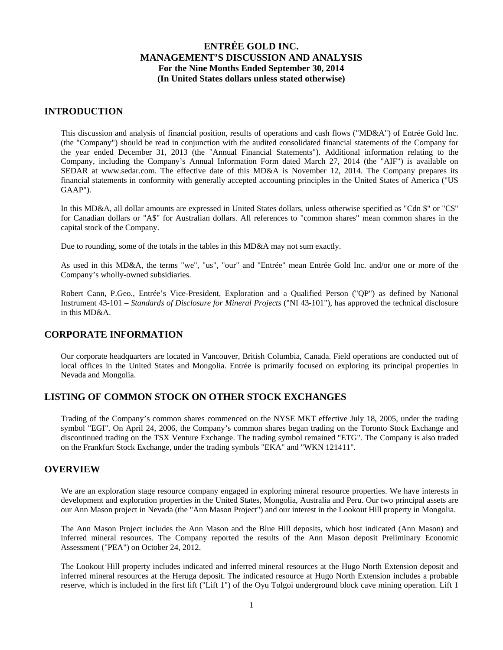## **INTRODUCTION**

This discussion and analysis of financial position, results of operations and cash flows ("MD&A") of Entrée Gold Inc. (the "Company") should be read in conjunction with the audited consolidated financial statements of the Company for the year ended December 31, 2013 (the "Annual Financial Statements"). Additional information relating to the Company, including the Company's Annual Information Form dated March 27, 2014 (the "AIF") is available on SEDAR at www.sedar.com. The effective date of this MD&A is November 12, 2014. The Company prepares its financial statements in conformity with generally accepted accounting principles in the United States of America ("US GAAP").

In this MD&A, all dollar amounts are expressed in United States dollars, unless otherwise specified as "Cdn \$" or "C\$" for Canadian dollars or "A\$" for Australian dollars. All references to "common shares" mean common shares in the capital stock of the Company.

Due to rounding, some of the totals in the tables in this MD&A may not sum exactly.

As used in this MD&A, the terms "we", "us", "our" and "Entrée" mean Entrée Gold Inc. and/or one or more of the Company's wholly-owned subsidiaries.

Robert Cann, P.Geo., Entrée's Vice-President, Exploration and a Qualified Person ("QP") as defined by National Instrument 43-101 – *Standards of Disclosure for Mineral Projects* ("NI 43-101"), has approved the technical disclosure in this MD&A.

# **CORPORATE INFORMATION**

Our corporate headquarters are located in Vancouver, British Columbia, Canada. Field operations are conducted out of local offices in the United States and Mongolia. Entrée is primarily focused on exploring its principal properties in Nevada and Mongolia.

# **LISTING OF COMMON STOCK ON OTHER STOCK EXCHANGES**

Trading of the Company's common shares commenced on the NYSE MKT effective July 18, 2005, under the trading symbol "EGI". On April 24, 2006, the Company's common shares began trading on the Toronto Stock Exchange and discontinued trading on the TSX Venture Exchange. The trading symbol remained "ETG". The Company is also traded on the Frankfurt Stock Exchange, under the trading symbols "EKA" and "WKN 121411".

# **OVERVIEW**

We are an exploration stage resource company engaged in exploring mineral resource properties. We have interests in development and exploration properties in the United States, Mongolia, Australia and Peru. Our two principal assets are our Ann Mason project in Nevada (the "Ann Mason Project") and our interest in the Lookout Hill property in Mongolia.

The Ann Mason Project includes the Ann Mason and the Blue Hill deposits, which host indicated (Ann Mason) and inferred mineral resources. The Company reported the results of the Ann Mason deposit Preliminary Economic Assessment ("PEA") on October 24, 2012.

The Lookout Hill property includes indicated and inferred mineral resources at the Hugo North Extension deposit and inferred mineral resources at the Heruga deposit. The indicated resource at Hugo North Extension includes a probable reserve, which is included in the first lift ("Lift 1") of the Oyu Tolgoi underground block cave mining operation. Lift 1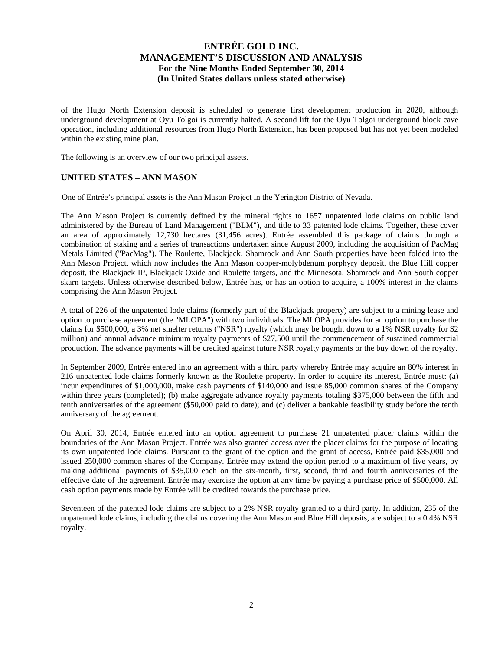of the Hugo North Extension deposit is scheduled to generate first development production in 2020, although underground development at Oyu Tolgoi is currently halted. A second lift for the Oyu Tolgoi underground block cave operation, including additional resources from Hugo North Extension, has been proposed but has not yet been modeled within the existing mine plan.

The following is an overview of our two principal assets.

## **UNITED STATES – ANN MASON**

One of Entrée's principal assets is the Ann Mason Project in the Yerington District of Nevada.

The Ann Mason Project is currently defined by the mineral rights to 1657 unpatented lode claims on public land administered by the Bureau of Land Management ("BLM"), and title to 33 patented lode claims. Together, these cover an area of approximately 12,730 hectares (31,456 acres). Entrée assembled this package of claims through a combination of staking and a series of transactions undertaken since August 2009, including the acquisition of PacMag Metals Limited ("PacMag"). The Roulette, Blackjack, Shamrock and Ann South properties have been folded into the Ann Mason Project, which now includes the Ann Mason copper-molybdenum porphyry deposit, the Blue Hill copper deposit, the Blackjack IP, Blackjack Oxide and Roulette targets, and the Minnesota, Shamrock and Ann South copper skarn targets. Unless otherwise described below, Entrée has, or has an option to acquire, a 100% interest in the claims comprising the Ann Mason Project.

A total of 226 of the unpatented lode claims (formerly part of the Blackjack property) are subject to a mining lease and option to purchase agreement (the "MLOPA") with two individuals. The MLOPA provides for an option to purchase the claims for \$500,000, a 3% net smelter returns ("NSR") royalty (which may be bought down to a 1% NSR royalty for \$2 million) and annual advance minimum royalty payments of \$27,500 until the commencement of sustained commercial production. The advance payments will be credited against future NSR royalty payments or the buy down of the royalty.

In September 2009, Entrée entered into an agreement with a third party whereby Entrée may acquire an 80% interest in 216 unpatented lode claims formerly known as the Roulette property. In order to acquire its interest, Entrée must: (a) incur expenditures of \$1,000,000, make cash payments of \$140,000 and issue 85,000 common shares of the Company within three years (completed); (b) make aggregate advance royalty payments totaling \$375,000 between the fifth and tenth anniversaries of the agreement (\$50,000 paid to date); and (c) deliver a bankable feasibility study before the tenth anniversary of the agreement.

On April 30, 2014, Entrée entered into an option agreement to purchase 21 unpatented placer claims within the boundaries of the Ann Mason Project. Entrée was also granted access over the placer claims for the purpose of locating its own unpatented lode claims. Pursuant to the grant of the option and the grant of access, Entrée paid \$35,000 and issued 250,000 common shares of the Company. Entrée may extend the option period to a maximum of five years, by making additional payments of \$35,000 each on the six-month, first, second, third and fourth anniversaries of the effective date of the agreement. Entrée may exercise the option at any time by paying a purchase price of \$500,000. All cash option payments made by Entrée will be credited towards the purchase price.

Seventeen of the patented lode claims are subject to a 2% NSR royalty granted to a third party. In addition, 235 of the unpatented lode claims, including the claims covering the Ann Mason and Blue Hill deposits, are subject to a 0.4% NSR royalty.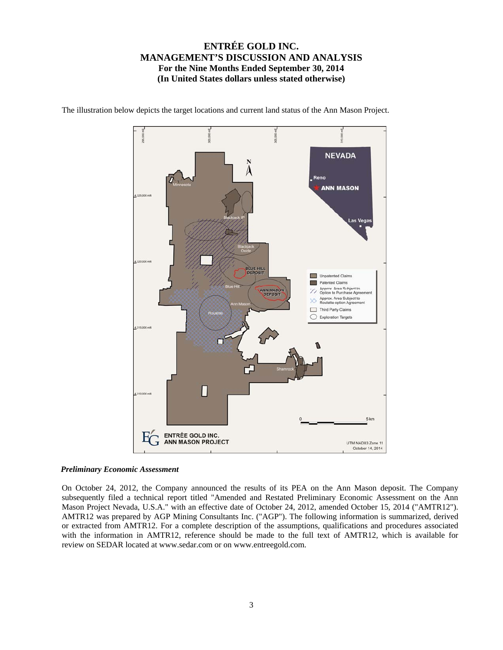

The illustration below depicts the target locations and current land status of the Ann Mason Project.

## *Preliminary Economic Assessment*

On October 24, 2012, the Company announced the results of its PEA on the Ann Mason deposit. The Company subsequently filed a technical report titled "Amended and Restated Preliminary Economic Assessment on the Ann Mason Project Nevada, U.S.A." with an effective date of October 24, 2012, amended October 15, 2014 ("AMTR12"). AMTR12 was prepared by AGP Mining Consultants Inc. ("AGP"). The following information is summarized, derived or extracted from AMTR12. For a complete description of the assumptions, qualifications and procedures associated with the information in AMTR12, reference should be made to the full text of AMTR12, which is available for review on SEDAR located at www.sedar.com or on www.entreegold.com.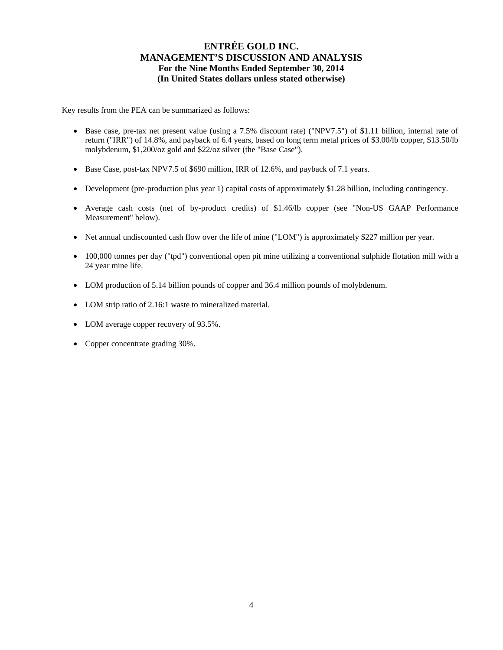Key results from the PEA can be summarized as follows:

- Base case, pre-tax net present value (using a 7.5% discount rate) ("NPV7.5") of \$1.11 billion, internal rate of return ("IRR") of 14.8%, and payback of 6.4 years, based on long term metal prices of \$3.00/lb copper, \$13.50/lb molybdenum, \$1,200/oz gold and \$22/oz silver (the "Base Case").
- Base Case, post-tax NPV7.5 of \$690 million, IRR of 12.6%, and payback of 7.1 years.
- Development (pre-production plus year 1) capital costs of approximately \$1.28 billion, including contingency.
- Average cash costs (net of by-product credits) of \$1.46/lb copper (see "Non-US GAAP Performance Measurement" below).
- Net annual undiscounted cash flow over the life of mine ("LOM") is approximately \$227 million per year.
- 100,000 tonnes per day ("tpd") conventional open pit mine utilizing a conventional sulphide flotation mill with a 24 year mine life.
- LOM production of 5.14 billion pounds of copper and 36.4 million pounds of molybdenum.
- LOM strip ratio of 2.16:1 waste to mineralized material.
- LOM average copper recovery of 93.5%.
- Copper concentrate grading 30%.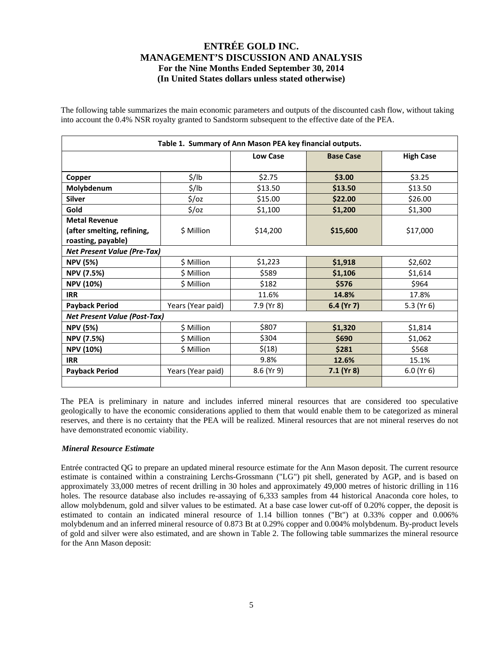The following table summarizes the main economic parameters and outputs of the discounted cash flow, without taking into account the 0.4% NSR royalty granted to Sandstorm subsequent to the effective date of the PEA.

| Table 1. Summary of Ann Mason PEA key financial outputs. |                   |                 |                  |                  |  |  |  |  |  |  |
|----------------------------------------------------------|-------------------|-----------------|------------------|------------------|--|--|--|--|--|--|
|                                                          |                   | <b>Low Case</b> | <b>Base Case</b> | <b>High Case</b> |  |  |  |  |  |  |
|                                                          | $\frac{1}{2}$ /lb | \$2.75          | \$3.00           | \$3.25           |  |  |  |  |  |  |
| Copper                                                   |                   | \$13.50         |                  |                  |  |  |  |  |  |  |
| Molybdenum                                               | \$/lb             |                 | \$13.50          | \$13.50          |  |  |  |  |  |  |
| <b>Silver</b>                                            | $\frac{2}{3}$ /0Z | \$15.00         | \$22.00          | \$26.00          |  |  |  |  |  |  |
| Gold                                                     | $\frac{2}{3}$ /0z | \$1,100         | \$1,200          | \$1,300          |  |  |  |  |  |  |
| <b>Metal Revenue</b>                                     |                   |                 |                  |                  |  |  |  |  |  |  |
| (after smelting, refining,                               | \$ Million        | \$14,200        | \$15,600         | \$17,000         |  |  |  |  |  |  |
| roasting, payable)                                       |                   |                 |                  |                  |  |  |  |  |  |  |
| <b>Net Present Value (Pre-Tax)</b>                       |                   |                 |                  |                  |  |  |  |  |  |  |
| <b>NPV (5%)</b>                                          | \$ Million        | \$1,223         | \$1,918          | \$2,602          |  |  |  |  |  |  |
| <b>NPV (7.5%)</b>                                        | \$ Million        | \$589           | \$1,106          | \$1,614          |  |  |  |  |  |  |
| <b>NPV (10%)</b>                                         | \$ Million        | \$182           | \$576            | \$964            |  |  |  |  |  |  |
| <b>IRR</b>                                               |                   | 11.6%           | 14.8%            | 17.8%            |  |  |  |  |  |  |
| <b>Payback Period</b>                                    | Years (Year paid) | 7.9 (Yr 8)      | 6.4 (Yr 7)       | 5.3 ( $Yr$ 6)    |  |  |  |  |  |  |
| <b>Net Present Value (Post-Tax)</b>                      |                   |                 |                  |                  |  |  |  |  |  |  |
| <b>NPV (5%)</b>                                          | \$ Million        | \$807           | \$1,320          | \$1,814          |  |  |  |  |  |  |
| <b>NPV (7.5%)</b>                                        | \$ Million        | \$304           | \$690            | \$1,062          |  |  |  |  |  |  |
| <b>NPV (10%)</b>                                         | \$ Million        | \$(18)          | \$281            | \$568            |  |  |  |  |  |  |
| <b>IRR</b>                                               |                   | 9.8%            | 12.6%            | 15.1%            |  |  |  |  |  |  |
| <b>Payback Period</b>                                    | Years (Year paid) | 8.6 (Yr 9)      | $7.1$ (Yr 8)     | $6.0$ (Yr $6$ )  |  |  |  |  |  |  |
|                                                          |                   |                 |                  |                  |  |  |  |  |  |  |

The PEA is preliminary in nature and includes inferred mineral resources that are considered too speculative geologically to have the economic considerations applied to them that would enable them to be categorized as mineral reserves, and there is no certainty that the PEA will be realized. Mineral resources that are not mineral reserves do not have demonstrated economic viability.

## *Mineral Resource Estimate*

Entrée contracted QG to prepare an updated mineral resource estimate for the Ann Mason deposit. The current resource estimate is contained within a constraining Lerchs-Grossmann ("LG") pit shell, generated by AGP, and is based on approximately 33,000 metres of recent drilling in 30 holes and approximately 49,000 metres of historic drilling in 116 holes. The resource database also includes re-assaying of 6,333 samples from 44 historical Anaconda core holes, to allow molybdenum, gold and silver values to be estimated. At a base case lower cut-off of 0.20% copper, the deposit is estimated to contain an indicated mineral resource of 1.14 billion tonnes ("Bt") at 0.33% copper and 0.006% molybdenum and an inferred mineral resource of 0.873 Bt at 0.29% copper and 0.004% molybdenum. By-product levels of gold and silver were also estimated, and are shown in Table 2. The following table summarizes the mineral resource for the Ann Mason deposit: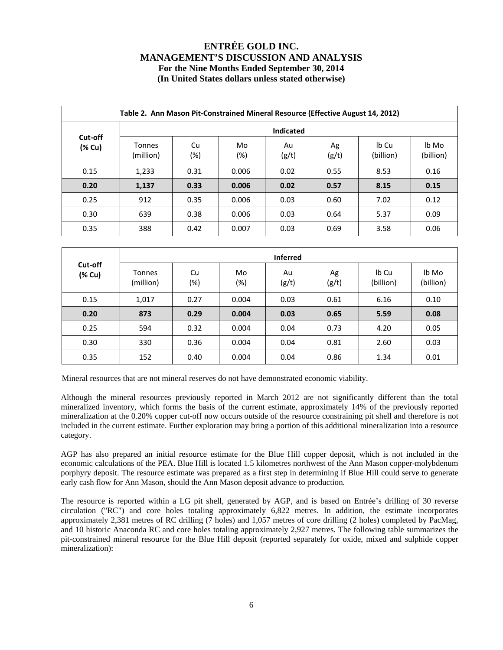|                   | Table 2. Ann Mason Pit-Constrained Mineral Resource (Effective August 14, 2012) |           |           |             |             |                    |                    |  |  |  |  |  |  |
|-------------------|---------------------------------------------------------------------------------|-----------|-----------|-------------|-------------|--------------------|--------------------|--|--|--|--|--|--|
|                   | <b>Indicated</b>                                                                |           |           |             |             |                    |                    |  |  |  |  |  |  |
| Cut-off<br>(% Cu) | <b>Tonnes</b><br>(million)                                                      | Cu<br>(%) | Mo<br>(%) | Au<br>(g/t) | Ag<br>(g/t) | Ib Cu<br>(billion) | lb Mo<br>(billion) |  |  |  |  |  |  |
| 0.15              | 1,233                                                                           | 0.31      | 0.006     | 0.02        | 0.55        | 8.53               | 0.16               |  |  |  |  |  |  |
| 0.20              | 1,137                                                                           | 0.33      | 0.006     | 0.02        | 0.57        | 8.15               | 0.15               |  |  |  |  |  |  |
| 0.25              | 912                                                                             | 0.35      | 0.006     | 0.03        | 0.60        | 7.02               | 0.12               |  |  |  |  |  |  |
| 0.30              | 639                                                                             | 0.38      | 0.006     | 0.03        | 0.64        | 5.37               | 0.09               |  |  |  |  |  |  |
| 0.35              | 388                                                                             | 0.42      | 0.007     | 0.03        | 0.69        | 3.58               | 0.06               |  |  |  |  |  |  |

|                   |                            | <b>Inferred</b> |              |             |             |                    |                    |  |  |  |  |  |  |
|-------------------|----------------------------|-----------------|--------------|-------------|-------------|--------------------|--------------------|--|--|--|--|--|--|
| Cut-off<br>(% Cu) | <b>Tonnes</b><br>(million) | Cu<br>(%)       | Mo<br>$(\%)$ | Au<br>(g/t) | Ag<br>(g/t) | Ib Cu<br>(billion) | lb Mo<br>(billion) |  |  |  |  |  |  |
| 0.15              | 1,017                      | 0.27            | 0.004        | 0.03        | 0.61        | 6.16               | 0.10               |  |  |  |  |  |  |
| 0.20              | 873                        | 0.29            | 0.004        | 0.03        | 0.65        | 5.59               | 0.08               |  |  |  |  |  |  |
| 0.25              | 594                        | 0.32            | 0.004        | 0.04        | 0.73        | 4.20               | 0.05               |  |  |  |  |  |  |
| 0.30              | 330                        | 0.36            | 0.004        | 0.04        | 0.81        | 2.60               | 0.03               |  |  |  |  |  |  |
| 0.35              | 152                        | 0.40            | 0.004        | 0.04        | 0.86        | 1.34               | 0.01               |  |  |  |  |  |  |

Mineral resources that are not mineral reserves do not have demonstrated economic viability.

Although the mineral resources previously reported in March 2012 are not significantly different than the total mineralized inventory, which forms the basis of the current estimate, approximately 14% of the previously reported mineralization at the 0.20% copper cut-off now occurs outside of the resource constraining pit shell and therefore is not included in the current estimate. Further exploration may bring a portion of this additional mineralization into a resource category.

AGP has also prepared an initial resource estimate for the Blue Hill copper deposit, which is not included in the economic calculations of the PEA. Blue Hill is located 1.5 kilometres northwest of the Ann Mason copper-molybdenum porphyry deposit. The resource estimate was prepared as a first step in determining if Blue Hill could serve to generate early cash flow for Ann Mason, should the Ann Mason deposit advance to production.

The resource is reported within a LG pit shell, generated by AGP, and is based on Entrée's drilling of 30 reverse circulation ("RC") and core holes totaling approximately 6,822 metres. In addition, the estimate incorporates approximately 2,381 metres of RC drilling (7 holes) and 1,057 metres of core drilling (2 holes) completed by PacMag, and 10 historic Anaconda RC and core holes totaling approximately 2,927 metres. The following table summarizes the pit-constrained mineral resource for the Blue Hill deposit (reported separately for oxide, mixed and sulphide copper mineralization):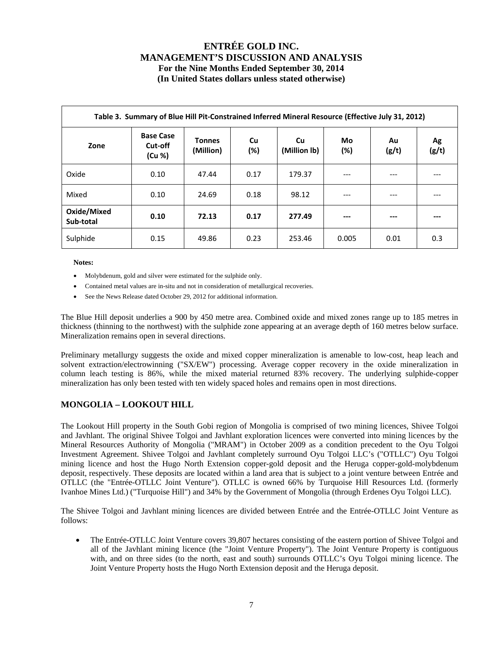|                          | Table 3. Summary of Blue Hill Pit-Constrained Inferred Mineral Resource (Effective July 31, 2012) |                            |           |                    |              |             |             |  |  |  |  |  |
|--------------------------|---------------------------------------------------------------------------------------------------|----------------------------|-----------|--------------------|--------------|-------------|-------------|--|--|--|--|--|
| Zone                     | <b>Base Case</b><br>Cut-off<br>(Cu %)                                                             | <b>Tonnes</b><br>(Million) | Cu<br>(%) | Cu<br>(Million Ib) | Mo<br>$(\%)$ | Au<br>(g/t) | Ag<br>(g/t) |  |  |  |  |  |
| Oxide                    | 0.10                                                                                              | 47.44                      | 0.17      | 179.37             | ---          | ---         |             |  |  |  |  |  |
| Mixed                    | 0.10                                                                                              | 24.69                      | 0.18      | 98.12              | ---          | ---         |             |  |  |  |  |  |
| Oxide/Mixed<br>Sub-total | 0.10                                                                                              | 72.13                      | 0.17      | 277.49             | ---          | ---         |             |  |  |  |  |  |
| Sulphide                 | 0.15                                                                                              | 49.86                      | 0.23      | 253.46             | 0.005        | 0.01        | 0.3         |  |  |  |  |  |

**Notes:** 

- Molybdenum, gold and silver were estimated for the sulphide only.
- Contained metal values are in-situ and not in consideration of metallurgical recoveries.
- See the News Release dated October 29, 2012 for additional information.

The Blue Hill deposit underlies a 900 by 450 metre area. Combined oxide and mixed zones range up to 185 metres in thickness (thinning to the northwest) with the sulphide zone appearing at an average depth of 160 metres below surface. Mineralization remains open in several directions.

Preliminary metallurgy suggests the oxide and mixed copper mineralization is amenable to low-cost, heap leach and solvent extraction/electrowinning ("SX/EW") processing. Average copper recovery in the oxide mineralization in column leach testing is 86%, while the mixed material returned 83% recovery. The underlying sulphide-copper mineralization has only been tested with ten widely spaced holes and remains open in most directions.

## **MONGOLIA – LOOKOUT HILL**

The Lookout Hill property in the South Gobi region of Mongolia is comprised of two mining licences, Shivee Tolgoi and Javhlant. The original Shivee Tolgoi and Javhlant exploration licences were converted into mining licences by the Mineral Resources Authority of Mongolia ("MRAM") in October 2009 as a condition precedent to the Oyu Tolgoi Investment Agreement. Shivee Tolgoi and Javhlant completely surround Oyu Tolgoi LLC's ("OTLLC") Oyu Tolgoi mining licence and host the Hugo North Extension copper-gold deposit and the Heruga copper-gold-molybdenum deposit, respectively. These deposits are located within a land area that is subject to a joint venture between Entrée and OTLLC (the "Entrée-OTLLC Joint Venture"). OTLLC is owned 66% by Turquoise Hill Resources Ltd. (formerly Ivanhoe Mines Ltd.) ("Turquoise Hill") and 34% by the Government of Mongolia (through Erdenes Oyu Tolgoi LLC).

The Shivee Tolgoi and Javhlant mining licences are divided between Entrée and the Entrée-OTLLC Joint Venture as follows:

• The Entrée-OTLLC Joint Venture covers 39,807 hectares consisting of the eastern portion of Shivee Tolgoi and all of the Javhlant mining licence (the "Joint Venture Property"). The Joint Venture Property is contiguous with, and on three sides (to the north, east and south) surrounds OTLLC's Oyu Tolgoi mining licence. The Joint Venture Property hosts the Hugo North Extension deposit and the Heruga deposit.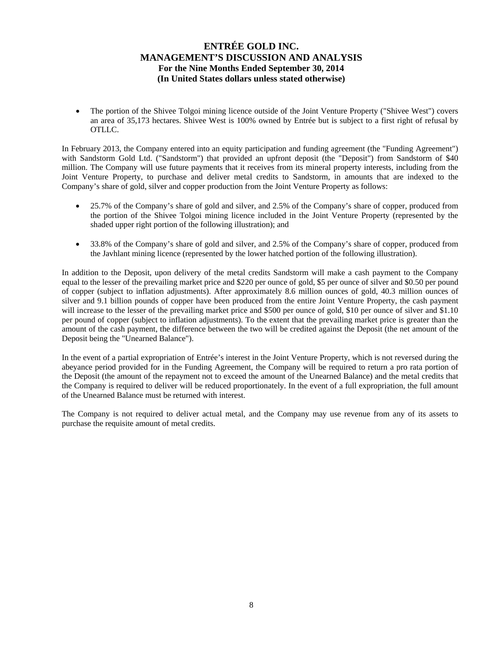The portion of the Shivee Tolgoi mining licence outside of the Joint Venture Property ("Shivee West") covers an area of 35,173 hectares. Shivee West is 100% owned by Entrée but is subject to a first right of refusal by OTLLC.

In February 2013, the Company entered into an equity participation and funding agreement (the "Funding Agreement") with Sandstorm Gold Ltd. ("Sandstorm") that provided an upfront deposit (the "Deposit") from Sandstorm of \$40 million. The Company will use future payments that it receives from its mineral property interests, including from the Joint Venture Property, to purchase and deliver metal credits to Sandstorm, in amounts that are indexed to the Company's share of gold, silver and copper production from the Joint Venture Property as follows:

- 25.7% of the Company's share of gold and silver, and 2.5% of the Company's share of copper, produced from the portion of the Shivee Tolgoi mining licence included in the Joint Venture Property (represented by the shaded upper right portion of the following illustration); and
- 33.8% of the Company's share of gold and silver, and 2.5% of the Company's share of copper, produced from the Javhlant mining licence (represented by the lower hatched portion of the following illustration).

In addition to the Deposit, upon delivery of the metal credits Sandstorm will make a cash payment to the Company equal to the lesser of the prevailing market price and \$220 per ounce of gold, \$5 per ounce of silver and \$0.50 per pound of copper (subject to inflation adjustments). After approximately 8.6 million ounces of gold, 40.3 million ounces of silver and 9.1 billion pounds of copper have been produced from the entire Joint Venture Property, the cash payment will increase to the lesser of the prevailing market price and \$500 per ounce of gold, \$10 per ounce of silver and \$1.10 per pound of copper (subject to inflation adjustments). To the extent that the prevailing market price is greater than the amount of the cash payment, the difference between the two will be credited against the Deposit (the net amount of the Deposit being the "Unearned Balance").

In the event of a partial expropriation of Entrée's interest in the Joint Venture Property, which is not reversed during the abeyance period provided for in the Funding Agreement, the Company will be required to return a pro rata portion of the Deposit (the amount of the repayment not to exceed the amount of the Unearned Balance) and the metal credits that the Company is required to deliver will be reduced proportionately. In the event of a full expropriation, the full amount of the Unearned Balance must be returned with interest.

The Company is not required to deliver actual metal, and the Company may use revenue from any of its assets to purchase the requisite amount of metal credits.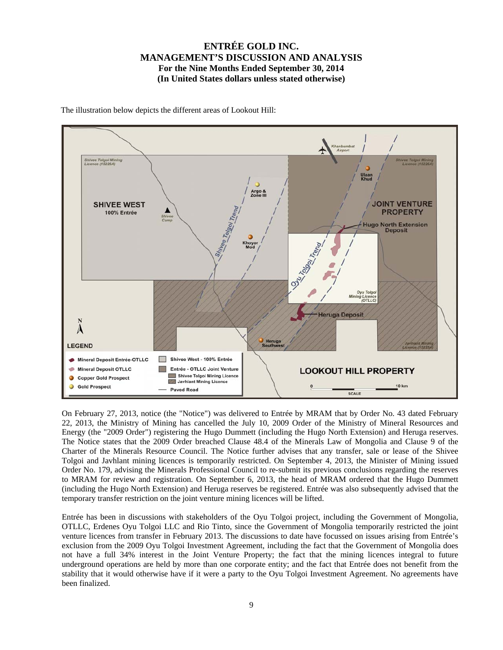

The illustration below depicts the different areas of Lookout Hill:

On February 27, 2013, notice (the "Notice") was delivered to Entrée by MRAM that by Order No. 43 dated February 22, 2013, the Ministry of Mining has cancelled the July 10, 2009 Order of the Ministry of Mineral Resources and Energy (the "2009 Order") registering the Hugo Dummett (including the Hugo North Extension) and Heruga reserves. The Notice states that the 2009 Order breached Clause 48.4 of the Minerals Law of Mongolia and Clause 9 of the Charter of the Minerals Resource Council. The Notice further advises that any transfer, sale or lease of the Shivee Tolgoi and Javhlant mining licences is temporarily restricted. On September 4, 2013, the Minister of Mining issued Order No. 179, advising the Minerals Professional Council to re-submit its previous conclusions regarding the reserves to MRAM for review and registration. On September 6, 2013, the head of MRAM ordered that the Hugo Dummett (including the Hugo North Extension) and Heruga reserves be registered. Entrée was also subsequently advised that the temporary transfer restriction on the joint venture mining licences will be lifted.

Entrée has been in discussions with stakeholders of the Oyu Tolgoi project, including the Government of Mongolia, OTLLC, Erdenes Oyu Tolgoi LLC and Rio Tinto, since the Government of Mongolia temporarily restricted the joint venture licences from transfer in February 2013. The discussions to date have focussed on issues arising from Entrée's exclusion from the 2009 Oyu Tolgoi Investment Agreement, including the fact that the Government of Mongolia does not have a full 34% interest in the Joint Venture Property; the fact that the mining licences integral to future underground operations are held by more than one corporate entity; and the fact that Entrée does not benefit from the stability that it would otherwise have if it were a party to the Oyu Tolgoi Investment Agreement. No agreements have been finalized.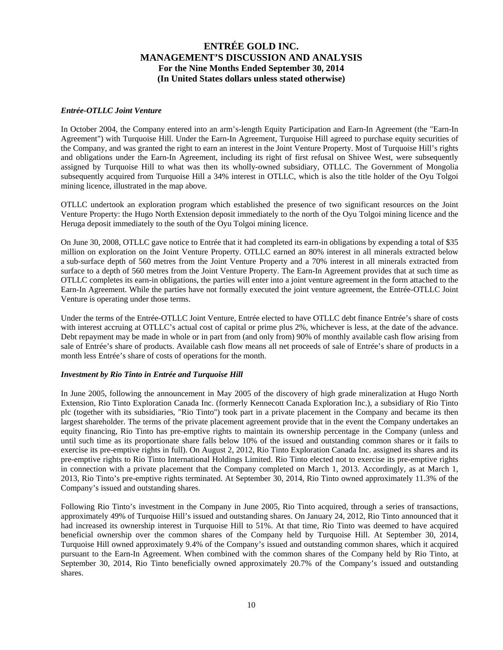## *Entrée-OTLLC Joint Venture*

In October 2004, the Company entered into an arm's-length Equity Participation and Earn-In Agreement (the "Earn-In Agreement") with Turquoise Hill. Under the Earn-In Agreement, Turquoise Hill agreed to purchase equity securities of the Company, and was granted the right to earn an interest in the Joint Venture Property. Most of Turquoise Hill's rights and obligations under the Earn-In Agreement, including its right of first refusal on Shivee West, were subsequently assigned by Turquoise Hill to what was then its wholly-owned subsidiary, OTLLC. The Government of Mongolia subsequently acquired from Turquoise Hill a 34% interest in OTLLC, which is also the title holder of the Oyu Tolgoi mining licence, illustrated in the map above.

OTLLC undertook an exploration program which established the presence of two significant resources on the Joint Venture Property: the Hugo North Extension deposit immediately to the north of the Oyu Tolgoi mining licence and the Heruga deposit immediately to the south of the Oyu Tolgoi mining licence.

On June 30, 2008, OTLLC gave notice to Entrée that it had completed its earn-in obligations by expending a total of \$35 million on exploration on the Joint Venture Property. OTLLC earned an 80% interest in all minerals extracted below a sub-surface depth of 560 metres from the Joint Venture Property and a 70% interest in all minerals extracted from surface to a depth of 560 metres from the Joint Venture Property. The Earn-In Agreement provides that at such time as OTLLC completes its earn-in obligations, the parties will enter into a joint venture agreement in the form attached to the Earn-In Agreement. While the parties have not formally executed the joint venture agreement, the Entrée-OTLLC Joint Venture is operating under those terms.

Under the terms of the Entrée-OTLLC Joint Venture, Entrée elected to have OTLLC debt finance Entrée's share of costs with interest accruing at OTLLC's actual cost of capital or prime plus 2%, whichever is less, at the date of the advance. Debt repayment may be made in whole or in part from (and only from) 90% of monthly available cash flow arising from sale of Entrée's share of products. Available cash flow means all net proceeds of sale of Entrée's share of products in a month less Entrée's share of costs of operations for the month.

#### *Investment by Rio Tinto in Entrée and Turquoise Hill*

In June 2005, following the announcement in May 2005 of the discovery of high grade mineralization at Hugo North Extension, Rio Tinto Exploration Canada Inc. (formerly Kennecott Canada Exploration Inc.), a subsidiary of Rio Tinto plc (together with its subsidiaries, "Rio Tinto") took part in a private placement in the Company and became its then largest shareholder. The terms of the private placement agreement provide that in the event the Company undertakes an equity financing, Rio Tinto has pre-emptive rights to maintain its ownership percentage in the Company (unless and until such time as its proportionate share falls below 10% of the issued and outstanding common shares or it fails to exercise its pre-emptive rights in full). On August 2, 2012, Rio Tinto Exploration Canada Inc. assigned its shares and its pre-emptive rights to Rio Tinto International Holdings Limited. Rio Tinto elected not to exercise its pre-emptive rights in connection with a private placement that the Company completed on March 1, 2013. Accordingly, as at March 1, 2013, Rio Tinto's pre-emptive rights terminated. At September 30, 2014, Rio Tinto owned approximately 11.3% of the Company's issued and outstanding shares.

Following Rio Tinto's investment in the Company in June 2005, Rio Tinto acquired, through a series of transactions, approximately 49% of Turquoise Hill's issued and outstanding shares. On January 24, 2012, Rio Tinto announced that it had increased its ownership interest in Turquoise Hill to 51%. At that time, Rio Tinto was deemed to have acquired beneficial ownership over the common shares of the Company held by Turquoise Hill. At September 30, 2014, Turquoise Hill owned approximately 9.4% of the Company's issued and outstanding common shares, which it acquired pursuant to the Earn-In Agreement. When combined with the common shares of the Company held by Rio Tinto, at September 30, 2014, Rio Tinto beneficially owned approximately 20.7% of the Company's issued and outstanding shares.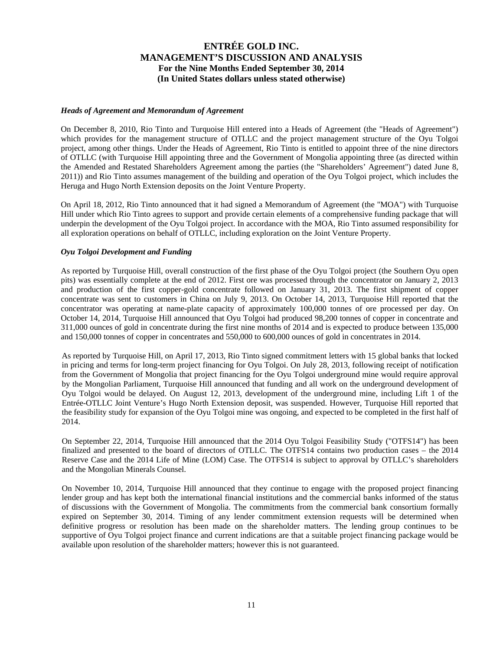#### *Heads of Agreement and Memorandum of Agreement*

On December 8, 2010, Rio Tinto and Turquoise Hill entered into a Heads of Agreement (the "Heads of Agreement") which provides for the management structure of OTLLC and the project management structure of the Oyu Tolgoi project, among other things. Under the Heads of Agreement, Rio Tinto is entitled to appoint three of the nine directors of OTLLC (with Turquoise Hill appointing three and the Government of Mongolia appointing three (as directed within the Amended and Restated Shareholders Agreement among the parties (the "Shareholders' Agreement") dated June 8, 2011)) and Rio Tinto assumes management of the building and operation of the Oyu Tolgoi project, which includes the Heruga and Hugo North Extension deposits on the Joint Venture Property.

On April 18, 2012, Rio Tinto announced that it had signed a Memorandum of Agreement (the "MOA") with Turquoise Hill under which Rio Tinto agrees to support and provide certain elements of a comprehensive funding package that will underpin the development of the Oyu Tolgoi project. In accordance with the MOA, Rio Tinto assumed responsibility for all exploration operations on behalf of OTLLC, including exploration on the Joint Venture Property.

## *Oyu Tolgoi Development and Funding*

As reported by Turquoise Hill, overall construction of the first phase of the Oyu Tolgoi project (the Southern Oyu open pits) was essentially complete at the end of 2012. First ore was processed through the concentrator on January 2, 2013 and production of the first copper-gold concentrate followed on January 31, 2013. The first shipment of copper concentrate was sent to customers in China on July 9, 2013. On October 14, 2013, Turquoise Hill reported that the concentrator was operating at name-plate capacity of approximately 100,000 tonnes of ore processed per day. On October 14, 2014, Turquoise Hill announced that Oyu Tolgoi had produced 98,200 tonnes of copper in concentrate and 311,000 ounces of gold in concentrate during the first nine months of 2014 and is expected to produce between 135,000 and 150,000 tonnes of copper in concentrates and 550,000 to 600,000 ounces of gold in concentrates in 2014.

As reported by Turquoise Hill, on April 17, 2013, Rio Tinto signed commitment letters with 15 global banks that locked in pricing and terms for long-term project financing for Oyu Tolgoi. On July 28, 2013, following receipt of notification from the Government of Mongolia that project financing for the Oyu Tolgoi underground mine would require approval by the Mongolian Parliament, Turquoise Hill announced that funding and all work on the underground development of Oyu Tolgoi would be delayed. On August 12, 2013, development of the underground mine, including Lift 1 of the Entrée-OTLLC Joint Venture's Hugo North Extension deposit, was suspended. However, Turquoise Hill reported that the feasibility study for expansion of the Oyu Tolgoi mine was ongoing, and expected to be completed in the first half of 2014.

On September 22, 2014, Turquoise Hill announced that the 2014 Oyu Tolgoi Feasibility Study ("OTFS14") has been finalized and presented to the board of directors of OTLLC. The OTFS14 contains two production cases – the 2014 Reserve Case and the 2014 Life of Mine (LOM) Case. The OTFS14 is subject to approval by OTLLC's shareholders and the Mongolian Minerals Counsel.

On November 10, 2014, Turquoise Hill announced that they continue to engage with the proposed project financing lender group and has kept both the international financial institutions and the commercial banks informed of the status of discussions with the Government of Mongolia. The commitments from the commercial bank consortium formally expired on September 30, 2014. Timing of any lender commitment extension requests will be determined when definitive progress or resolution has been made on the shareholder matters. The lending group continues to be supportive of Oyu Tolgoi project finance and current indications are that a suitable project financing package would be available upon resolution of the shareholder matters; however this is not guaranteed.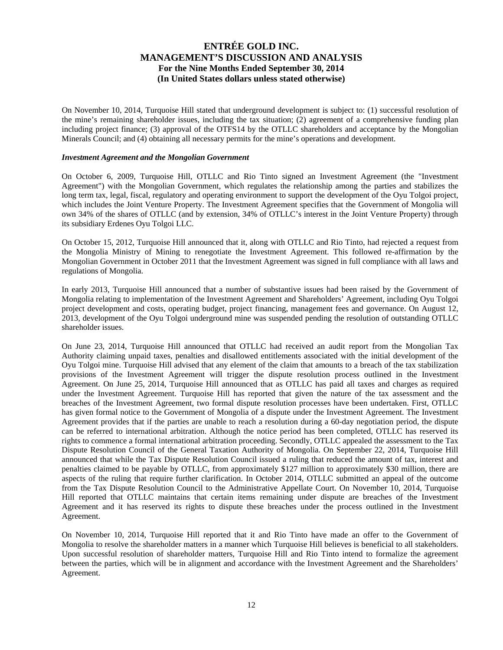On November 10, 2014, Turquoise Hill stated that underground development is subject to: (1) successful resolution of the mine's remaining shareholder issues, including the tax situation; (2) agreement of a comprehensive funding plan including project finance; (3) approval of the OTFS14 by the OTLLC shareholders and acceptance by the Mongolian Minerals Council; and (4) obtaining all necessary permits for the mine's operations and development.

#### *Investment Agreement and the Mongolian Government*

On October 6, 2009, Turquoise Hill, OTLLC and Rio Tinto signed an Investment Agreement (the "Investment Agreement") with the Mongolian Government, which regulates the relationship among the parties and stabilizes the long term tax, legal, fiscal, regulatory and operating environment to support the development of the Oyu Tolgoi project, which includes the Joint Venture Property. The Investment Agreement specifies that the Government of Mongolia will own 34% of the shares of OTLLC (and by extension, 34% of OTLLC's interest in the Joint Venture Property) through its subsidiary Erdenes Oyu Tolgoi LLC.

On October 15, 2012, Turquoise Hill announced that it, along with OTLLC and Rio Tinto, had rejected a request from the Mongolia Ministry of Mining to renegotiate the Investment Agreement. This followed re-affirmation by the Mongolian Government in October 2011 that the Investment Agreement was signed in full compliance with all laws and regulations of Mongolia.

In early 2013, Turquoise Hill announced that a number of substantive issues had been raised by the Government of Mongolia relating to implementation of the Investment Agreement and Shareholders' Agreement, including Oyu Tolgoi project development and costs, operating budget, project financing, management fees and governance. On August 12, 2013, development of the Oyu Tolgoi underground mine was suspended pending the resolution of outstanding OTLLC shareholder issues.

On June 23, 2014, Turquoise Hill announced that OTLLC had received an audit report from the Mongolian Tax Authority claiming unpaid taxes, penalties and disallowed entitlements associated with the initial development of the Oyu Tolgoi mine. Turquoise Hill advised that any element of the claim that amounts to a breach of the tax stabilization provisions of the Investment Agreement will trigger the dispute resolution process outlined in the Investment Agreement. On June 25, 2014, Turquoise Hill announced that as OTLLC has paid all taxes and charges as required under the Investment Agreement. Turquoise Hill has reported that given the nature of the tax assessment and the breaches of the Investment Agreement, two formal dispute resolution processes have been undertaken. First, OTLLC has given formal notice to the Government of Mongolia of a dispute under the Investment Agreement. The Investment Agreement provides that if the parties are unable to reach a resolution during a 60-day negotiation period, the dispute can be referred to international arbitration. Although the notice period has been completed, OTLLC has reserved its rights to commence a formal international arbitration proceeding. Secondly, OTLLC appealed the assessment to the Tax Dispute Resolution Council of the General Taxation Authority of Mongolia. On September 22, 2014, Turquoise Hill announced that while the Tax Dispute Resolution Council issued a ruling that reduced the amount of tax, interest and penalties claimed to be payable by OTLLC, from approximately \$127 million to approximately \$30 million, there are aspects of the ruling that require further clarification. In October 2014, OTLLC submitted an appeal of the outcome from the Tax Dispute Resolution Council to the Administrative Appellate Court. On November 10, 2014, Turquoise Hill reported that OTLLC maintains that certain items remaining under dispute are breaches of the Investment Agreement and it has reserved its rights to dispute these breaches under the process outlined in the Investment Agreement.

On November 10, 2014, Turquoise Hill reported that it and Rio Tinto have made an offer to the Government of Mongolia to resolve the shareholder matters in a manner which Turquoise Hill believes is beneficial to all stakeholders. Upon successful resolution of shareholder matters, Turquoise Hill and Rio Tinto intend to formalize the agreement between the parties, which will be in alignment and accordance with the Investment Agreement and the Shareholders' Agreement.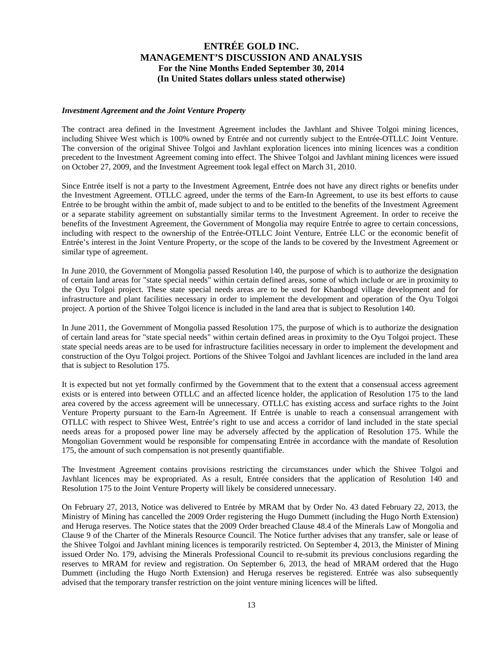#### *Investment Agreement and the Joint Venture Property*

The contract area defined in the Investment Agreement includes the Javhlant and Shivee Tolgoi mining licences, including Shivee West which is 100% owned by Entrée and not currently subject to the Entrée-OTLLC Joint Venture. The conversion of the original Shivee Tolgoi and Javhlant exploration licences into mining licences was a condition precedent to the Investment Agreement coming into effect. The Shivee Tolgoi and Javhlant mining licences were issued on October 27, 2009, and the Investment Agreement took legal effect on March 31, 2010.

Since Entrée itself is not a party to the Investment Agreement, Entrée does not have any direct rights or benefits under the Investment Agreement. OTLLC agreed, under the terms of the Earn-In Agreement, to use its best efforts to cause Entrée to be brought within the ambit of, made subject to and to be entitled to the benefits of the Investment Agreement or a separate stability agreement on substantially similar terms to the Investment Agreement. In order to receive the benefits of the Investment Agreement, the Government of Mongolia may require Entrée to agree to certain concessions, including with respect to the ownership of the Entrée-OTLLC Joint Venture, Entrée LLC or the economic benefit of Entrée's interest in the Joint Venture Property, or the scope of the lands to be covered by the Investment Agreement or similar type of agreement.

In June 2010, the Government of Mongolia passed Resolution 140, the purpose of which is to authorize the designation of certain land areas for "state special needs" within certain defined areas, some of which include or are in proximity to the Oyu Tolgoi project. These state special needs areas are to be used for Khanbogd village development and for infrastructure and plant facilities necessary in order to implement the development and operation of the Oyu Tolgoi project. A portion of the Shivee Tolgoi licence is included in the land area that is subject to Resolution 140.

In June 2011, the Government of Mongolia passed Resolution 175, the purpose of which is to authorize the designation of certain land areas for "state special needs" within certain defined areas in proximity to the Oyu Tolgoi project. These state special needs areas are to be used for infrastructure facilities necessary in order to implement the development and construction of the Oyu Tolgoi project. Portions of the Shivee Tolgoi and Javhlant licences are included in the land area that is subject to Resolution 175.

It is expected but not yet formally confirmed by the Government that to the extent that a consensual access agreement exists or is entered into between OTLLC and an affected licence holder, the application of Resolution 175 to the land area covered by the access agreement will be unnecessary. OTLLC has existing access and surface rights to the Joint Venture Property pursuant to the Earn-In Agreement. If Entrée is unable to reach a consensual arrangement with OTLLC with respect to Shivee West, Entrée's right to use and access a corridor of land included in the state special needs areas for a proposed power line may be adversely affected by the application of Resolution 175. While the Mongolian Government would be responsible for compensating Entrée in accordance with the mandate of Resolution 175, the amount of such compensation is not presently quantifiable.

The Investment Agreement contains provisions restricting the circumstances under which the Shivee Tolgoi and Javhlant licences may be expropriated. As a result, Entrée considers that the application of Resolution 140 and Resolution 175 to the Joint Venture Property will likely be considered unnecessary.

On February 27, 2013, Notice was delivered to Entrée by MRAM that by Order No. 43 dated February 22, 2013, the Ministry of Mining has cancelled the 2009 Order registering the Hugo Dummett (including the Hugo North Extension) and Heruga reserves. The Notice states that the 2009 Order breached Clause 48.4 of the Minerals Law of Mongolia and Clause 9 of the Charter of the Minerals Resource Council. The Notice further advises that any transfer, sale or lease of the Shivee Tolgoi and Javhlant mining licences is temporarily restricted. On September 4, 2013, the Minister of Mining issued Order No. 179, advising the Minerals Professional Council to re-submit its previous conclusions regarding the reserves to MRAM for review and registration. On September 6, 2013, the head of MRAM ordered that the Hugo Dummett (including the Hugo North Extension) and Heruga reserves be registered. Entrée was also subsequently advised that the temporary transfer restriction on the joint venture mining licences will be lifted.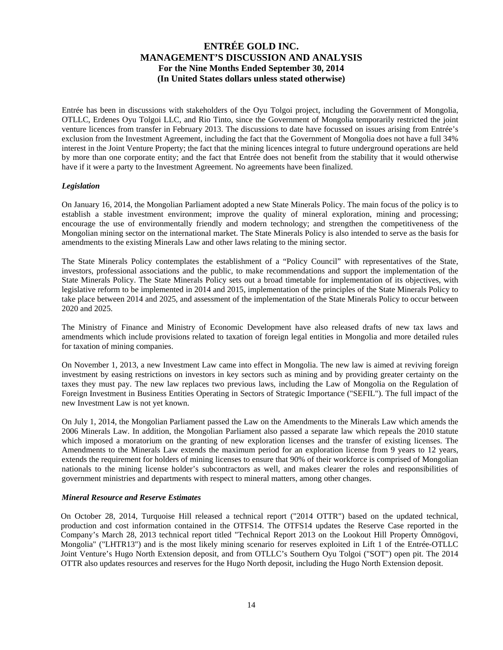Entrée has been in discussions with stakeholders of the Oyu Tolgoi project, including the Government of Mongolia, OTLLC, Erdenes Oyu Tolgoi LLC, and Rio Tinto, since the Government of Mongolia temporarily restricted the joint venture licences from transfer in February 2013. The discussions to date have focussed on issues arising from Entrée's exclusion from the Investment Agreement, including the fact that the Government of Mongolia does not have a full 34% interest in the Joint Venture Property; the fact that the mining licences integral to future underground operations are held by more than one corporate entity; and the fact that Entrée does not benefit from the stability that it would otherwise have if it were a party to the Investment Agreement. No agreements have been finalized.

## *Legislation*

On January 16, 2014, the Mongolian Parliament adopted a new State Minerals Policy. The main focus of the policy is to establish a stable investment environment; improve the quality of mineral exploration, mining and processing; encourage the use of environmentally friendly and modern technology; and strengthen the competitiveness of the Mongolian mining sector on the international market. The State Minerals Policy is also intended to serve as the basis for amendments to the existing Minerals Law and other laws relating to the mining sector.

The State Minerals Policy contemplates the establishment of a "Policy Council" with representatives of the State, investors, professional associations and the public, to make recommendations and support the implementation of the State Minerals Policy. The State Minerals Policy sets out a broad timetable for implementation of its objectives, with legislative reform to be implemented in 2014 and 2015, implementation of the principles of the State Minerals Policy to take place between 2014 and 2025, and assessment of the implementation of the State Minerals Policy to occur between 2020 and 2025.

The Ministry of Finance and Ministry of Economic Development have also released drafts of new tax laws and amendments which include provisions related to taxation of foreign legal entities in Mongolia and more detailed rules for taxation of mining companies.

On November 1, 2013, a new Investment Law came into effect in Mongolia. The new law is aimed at reviving foreign investment by easing restrictions on investors in key sectors such as mining and by providing greater certainty on the taxes they must pay. The new law replaces two previous laws, including the Law of Mongolia on the Regulation of Foreign Investment in Business Entities Operating in Sectors of Strategic Importance ("SEFIL"). The full impact of the new Investment Law is not yet known.

On July 1, 2014, the Mongolian Parliament passed the Law on the Amendments to the Minerals Law which amends the 2006 Minerals Law. In addition, the Mongolian Parliament also passed a separate law which repeals the 2010 statute which imposed a moratorium on the granting of new exploration licenses and the transfer of existing licenses. The Amendments to the Minerals Law extends the maximum period for an exploration license from 9 years to 12 years, extends the requirement for holders of mining licenses to ensure that 90% of their workforce is comprised of Mongolian nationals to the mining license holder's subcontractors as well, and makes clearer the roles and responsibilities of government ministries and departments with respect to mineral matters, among other changes.

#### *Mineral Resource and Reserve Estimates*

On October 28, 2014, Turquoise Hill released a technical report ("2014 OTTR") based on the updated technical, production and cost information contained in the OTFS14. The OTFS14 updates the Reserve Case reported in the Company's March 28, 2013 technical report titled "Technical Report 2013 on the Lookout Hill Property Ömnögovi, Mongolia" ("LHTR13") and is the most likely mining scenario for reserves exploited in Lift 1 of the Entrée-OTLLC Joint Venture's Hugo North Extension deposit, and from OTLLC's Southern Oyu Tolgoi ("SOT") open pit. The 2014 OTTR also updates resources and reserves for the Hugo North deposit, including the Hugo North Extension deposit.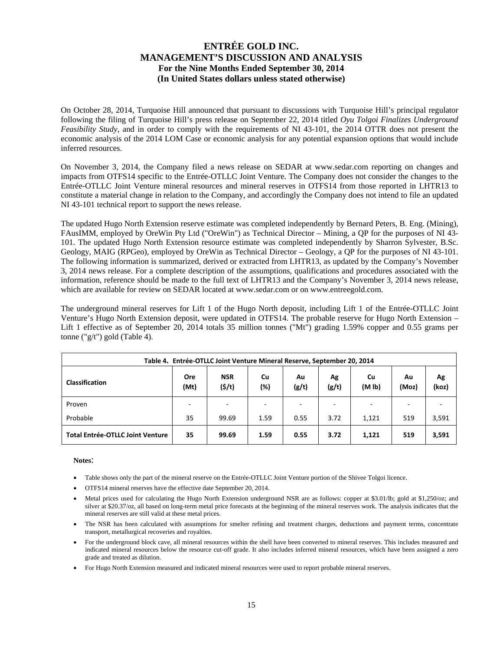On October 28, 2014, Turquoise Hill announced that pursuant to discussions with Turquoise Hill's principal regulator following the filing of Turquoise Hill's press release on September 22, 2014 titled *Oyu Tolgoi Finalizes Underground Feasibility Study*, and in order to comply with the requirements of NI 43-101, the 2014 OTTR does not present the economic analysis of the 2014 LOM Case or economic analysis for any potential expansion options that would include inferred resources.

On November 3, 2014, the Company filed a news release on SEDAR at www.sedar.com reporting on changes and impacts from OTFS14 specific to the Entrée-OTLLC Joint Venture. The Company does not consider the changes to the Entrée-OTLLC Joint Venture mineral resources and mineral reserves in OTFS14 from those reported in LHTR13 to constitute a material change in relation to the Company, and accordingly the Company does not intend to file an updated NI 43-101 technical report to support the news release.

The updated Hugo North Extension reserve estimate was completed independently by Bernard Peters, B. Eng. (Mining), FAusIMM, employed by OreWin Pty Ltd ("OreWin") as Technical Director – Mining, a QP for the purposes of NI 43- 101. The updated Hugo North Extension resource estimate was completed independently by Sharron Sylvester, B.Sc. Geology, MAIG (RPGeo), employed by OreWin as Technical Director – Geology, a QP for the purposes of NI 43-101. The following information is summarized, derived or extracted from LHTR13, as updated by the Company's November 3, 2014 news release. For a complete description of the assumptions, qualifications and procedures associated with the information, reference should be made to the full text of LHTR13 and the Company's November 3, 2014 news release, which are available for review on SEDAR located at www.sedar.com or on www.entreegold.com.

The underground mineral reserves for Lift 1 of the Hugo North deposit, including Lift 1 of the Entrée-OTLLC Joint Venture's Hugo North Extension deposit, were updated in OTFS14. The probable reserve for Hugo North Extension – Lift 1 effective as of September 20, 2014 totals 35 million tonnes ("Mt") grading 1.59% copper and 0.55 grams per tonne ("g/t") gold (Table 4).

| Table 4. Entrée-OTLLC Joint Venture Mineral Reserve, September 20, 2014 |             |                          |           |             |             |                          |             |             |  |  |
|-------------------------------------------------------------------------|-------------|--------------------------|-----------|-------------|-------------|--------------------------|-------------|-------------|--|--|
| <b>Classification</b>                                                   | Ore<br>(Mt) | <b>NSR</b><br>(5/t)      | Cu<br>(%) | Au<br>(g/t) | Ag<br>(g/t) | Cu<br>(M <sub>1b</sub> ) | Au<br>(Moz) | Ag<br>(koz) |  |  |
| Proven                                                                  | -           | $\overline{\phantom{a}}$ | -         | -           |             | $\overline{\phantom{a}}$ |             |             |  |  |
| Probable                                                                | 35          | 99.69                    | 1.59      | 0.55        | 3.72        | 1,121                    | 519         | 3,591       |  |  |
| <b>Total Entrée-OTLLC Joint Venture</b>                                 | 35          | 99.69                    | 1.59      | 0.55        | 3.72        | 1,121                    | 519         | 3,591       |  |  |

#### **Notes**:

- Table shows only the part of the mineral reserve on the Entrée-OTLLC Joint Venture portion of the Shivee Tolgoi licence.
- OTFS14 mineral reserves have the effective date September 20, 2014.
- Metal prices used for calculating the Hugo North Extension underground NSR are as follows: copper at \$3.01/lb; gold at \$1,250/oz; and silver at \$20.37/oz, all based on long-term metal price forecasts at the beginning of the mineral reserves work. The analysis indicates that the mineral reserves are still valid at these metal prices.
- The NSR has been calculated with assumptions for smelter refining and treatment charges, deductions and payment terms, concentrate transport, metallurgical recoveries and royalties.
- For the underground block cave, all mineral resources within the shell have been converted to mineral reserves. This includes measured and indicated mineral resources below the resource cut-off grade. It also includes inferred mineral resources, which have been assigned a zero grade and treated as dilution.
- For Hugo North Extension measured and indicated mineral resources were used to report probable mineral reserves.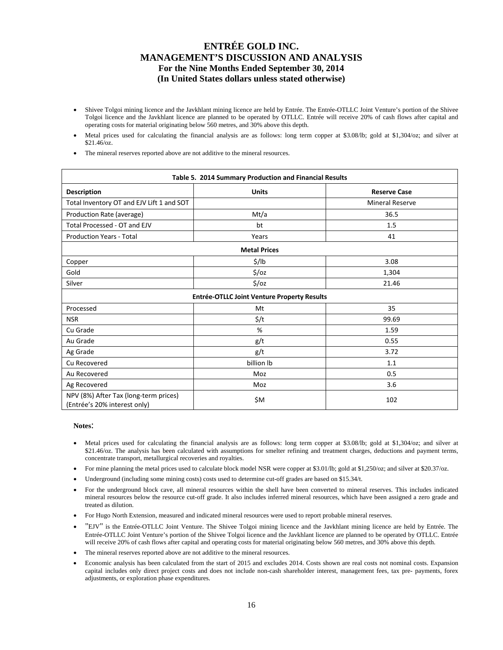- Shivee Tolgoi mining licence and the Javkhlant mining licence are held by Entrée. The Entrée-OTLLC Joint Venture's portion of the Shivee Tolgoi licence and the Javkhlant licence are planned to be operated by OTLLC. Entrée will receive 20% of cash flows after capital and operating costs for material originating below 560 metres, and 30% above this depth.
- Metal prices used for calculating the financial analysis are as follows: long term copper at \$3.08/lb; gold at \$1,304/oz; and silver at \$21.46/oz.
- The mineral reserves reported above are not additive to the mineral resources.

| Table 5. 2014 Summary Production and Financial Results                |                                             |                        |  |  |  |  |  |  |  |  |
|-----------------------------------------------------------------------|---------------------------------------------|------------------------|--|--|--|--|--|--|--|--|
| <b>Description</b>                                                    | <b>Units</b>                                | <b>Reserve Case</b>    |  |  |  |  |  |  |  |  |
| Total Inventory OT and EJV Lift 1 and SOT                             |                                             | <b>Mineral Reserve</b> |  |  |  |  |  |  |  |  |
| Production Rate (average)                                             | Mt/a                                        | 36.5                   |  |  |  |  |  |  |  |  |
| Total Processed - OT and EJV                                          | bt                                          | 1.5                    |  |  |  |  |  |  |  |  |
| <b>Production Years - Total</b>                                       | Years                                       | 41                     |  |  |  |  |  |  |  |  |
| <b>Metal Prices</b>                                                   |                                             |                        |  |  |  |  |  |  |  |  |
| Copper                                                                | \$/lb                                       | 3.08                   |  |  |  |  |  |  |  |  |
| Gold                                                                  | $\frac{1}{2}$ /0Z                           | 1,304                  |  |  |  |  |  |  |  |  |
| Silver                                                                | $\frac{1}{2}$ /oz                           | 21.46                  |  |  |  |  |  |  |  |  |
|                                                                       | Entrée-OTLLC Joint Venture Property Results |                        |  |  |  |  |  |  |  |  |
| Processed                                                             | Mt                                          | 35                     |  |  |  |  |  |  |  |  |
| <b>NSR</b>                                                            | \$/t                                        | 99.69                  |  |  |  |  |  |  |  |  |
| Cu Grade                                                              | %                                           | 1.59                   |  |  |  |  |  |  |  |  |
| Au Grade                                                              | g/t                                         | 0.55                   |  |  |  |  |  |  |  |  |
| Ag Grade                                                              | g/t                                         | 3.72                   |  |  |  |  |  |  |  |  |
| Cu Recovered                                                          | billion lb                                  | 1.1                    |  |  |  |  |  |  |  |  |
| Au Recovered                                                          | Moz                                         | 0.5                    |  |  |  |  |  |  |  |  |
| Ag Recovered                                                          | Moz                                         | 3.6                    |  |  |  |  |  |  |  |  |
| NPV (8%) After Tax (long-term prices)<br>(Entrée's 20% interest only) | \$M                                         | 102                    |  |  |  |  |  |  |  |  |

#### **Notes**:

- Metal prices used for calculating the financial analysis are as follows: long term copper at \$3.08/lb; gold at \$1,304/oz; and silver at \$21.46/oz. The analysis has been calculated with assumptions for smelter refining and treatment charges, deductions and payment terms, concentrate transport, metallurgical recoveries and royalties.
- For mine planning the metal prices used to calculate block model NSR were copper at \$3.01/lb; gold at \$1,250/oz; and silver at \$20.37/oz.
- Underground (including some mining costs) costs used to determine cut-off grades are based on \$15.34/t.
- For the underground block cave, all mineral resources within the shell have been converted to mineral reserves. This includes indicated mineral resources below the resource cut-off grade. It also includes inferred mineral resources, which have been assigned a zero grade and treated as dilution.
- For Hugo North Extension, measured and indicated mineral resources were used to report probable mineral reserves.
- "EJV" is the Entrée-OTLLC Joint Venture. The Shivee Tolgoi mining licence and the Javkhlant mining licence are held by Entrée. The Entrée-OTLLC Joint Venture's portion of the Shivee Tolgoi licence and the Javkhlant licence are planned to be operated by OTLLC. Entrée will receive 20% of cash flows after capital and operating costs for material originating below 560 metres, and 30% above this depth.
- The mineral reserves reported above are not additive to the mineral resources.
- Economic analysis has been calculated from the start of 2015 and excludes 2014. Costs shown are real costs not nominal costs. Expansion capital includes only direct project costs and does not include non-cash shareholder interest, management fees, tax pre- payments, forex adjustments, or exploration phase expenditures.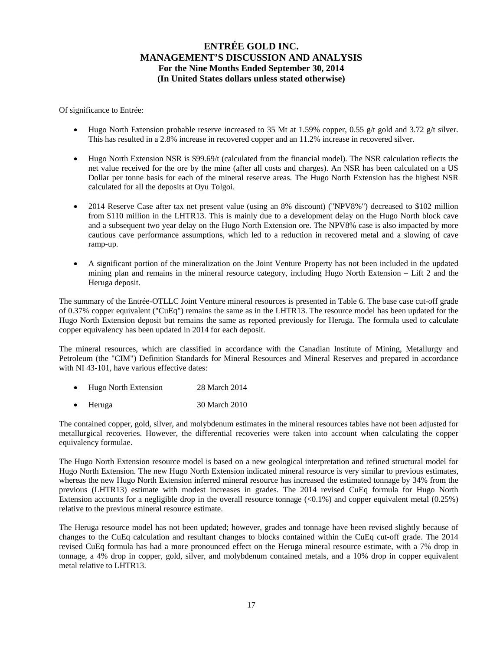Of significance to Entrée:

- Hugo North Extension probable reserve increased to 35 Mt at 1.59% copper, 0.55 g/t gold and 3.72 g/t silver. This has resulted in a 2.8% increase in recovered copper and an 11.2% increase in recovered silver.
- Hugo North Extension NSR is \$99.69/t (calculated from the financial model). The NSR calculation reflects the net value received for the ore by the mine (after all costs and charges). An NSR has been calculated on a US Dollar per tonne basis for each of the mineral reserve areas. The Hugo North Extension has the highest NSR calculated for all the deposits at Oyu Tolgoi.
- 2014 Reserve Case after tax net present value (using an 8% discount) ("NPV8%") decreased to \$102 million from \$110 million in the LHTR13. This is mainly due to a development delay on the Hugo North block cave and a subsequent two year delay on the Hugo North Extension ore. The NPV8% case is also impacted by more cautious cave performance assumptions, which led to a reduction in recovered metal and a slowing of cave ramp-up.
- A significant portion of the mineralization on the Joint Venture Property has not been included in the updated mining plan and remains in the mineral resource category, including Hugo North Extension – Lift 2 and the Heruga deposit.

The summary of the Entrée-OTLLC Joint Venture mineral resources is presented in Table 6. The base case cut-off grade of 0.37% copper equivalent ("CuEq") remains the same as in the LHTR13. The resource model has been updated for the Hugo North Extension deposit but remains the same as reported previously for Heruga. The formula used to calculate copper equivalency has been updated in 2014 for each deposit.

The mineral resources, which are classified in accordance with the Canadian Institute of Mining, Metallurgy and Petroleum (the "CIM") Definition Standards for Mineral Resources and Mineral Reserves and prepared in accordance with NI 43-101, have various effective dates:

- Hugo North Extension 28 March 2014
- Heruga 30 March 2010

The contained copper, gold, silver, and molybdenum estimates in the mineral resources tables have not been adjusted for metallurgical recoveries. However, the differential recoveries were taken into account when calculating the copper equivalency formulae.

The Hugo North Extension resource model is based on a new geological interpretation and refined structural model for Hugo North Extension. The new Hugo North Extension indicated mineral resource is very similar to previous estimates, whereas the new Hugo North Extension inferred mineral resource has increased the estimated tonnage by 34% from the previous (LHTR13) estimate with modest increases in grades. The 2014 revised CuEq formula for Hugo North Extension accounts for a negligible drop in the overall resource tonnage  $\langle 0.1\% \rangle$  and copper equivalent metal  $(0.25\%)$ relative to the previous mineral resource estimate.

The Heruga resource model has not been updated; however, grades and tonnage have been revised slightly because of changes to the CuEq calculation and resultant changes to blocks contained within the CuEq cut-off grade. The 2014 revised CuEq formula has had a more pronounced effect on the Heruga mineral resource estimate, with a 7% drop in tonnage, a 4% drop in copper, gold, silver, and molybdenum contained metals, and a 10% drop in copper equivalent metal relative to LHTR13.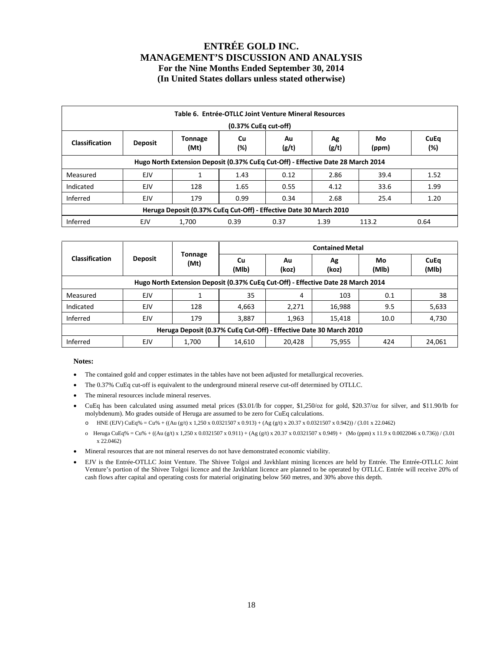| Table 6. Entrée-OTLLC Joint Venture Mineral Resources<br>(0.37% CuEq cut-off)                                                                     |     |                                                                    |      |      |      |       |      |  |  |  |  |
|---------------------------------------------------------------------------------------------------------------------------------------------------|-----|--------------------------------------------------------------------|------|------|------|-------|------|--|--|--|--|
| <b>CuEq</b><br>Au<br>Ag<br><b>Tonnage</b><br>Cu<br>Mo<br><b>Classification</b><br><b>Deposit</b><br>(Mt)<br>(%)<br>(g/t)<br>(%)<br>(g/t)<br>(ppm) |     |                                                                    |      |      |      |       |      |  |  |  |  |
| Hugo North Extension Deposit (0.37% CuEq Cut-Off) - Effective Date 28 March 2014                                                                  |     |                                                                    |      |      |      |       |      |  |  |  |  |
| Measured                                                                                                                                          | EJV |                                                                    | 1.43 | 0.12 | 2.86 | 39.4  | 1.52 |  |  |  |  |
| Indicated                                                                                                                                         | EJV | 128                                                                | 1.65 | 0.55 | 4.12 | 33.6  | 1.99 |  |  |  |  |
| Inferred                                                                                                                                          | EJV | 179                                                                | 0.99 | 0.34 | 2.68 | 25.4  | 1.20 |  |  |  |  |
|                                                                                                                                                   |     | Heruga Deposit (0.37% CuEq Cut-Off) - Effective Date 30 March 2010 |      |      |      |       |      |  |  |  |  |
| Inferred                                                                                                                                          | EJV | 1,700                                                              | 0.39 | 0.37 | 1.39 | 113.2 | 0.64 |  |  |  |  |

|                                                                                  | <b>Deposit</b> |                        | <b>Contained Metal</b> |             |             |             |               |  |  |  |  |  |  |
|----------------------------------------------------------------------------------|----------------|------------------------|------------------------|-------------|-------------|-------------|---------------|--|--|--|--|--|--|
| <b>Classification</b>                                                            |                | <b>Tonnage</b><br>(Mt) | <b>Cu</b><br>(MIb)     | Au<br>(koz) | Ag<br>(koz) | Mo<br>(MIb) | CuEq<br>(MIb) |  |  |  |  |  |  |
| Hugo North Extension Deposit (0.37% CuEq Cut-Off) - Effective Date 28 March 2014 |                |                        |                        |             |             |             |               |  |  |  |  |  |  |
| Measured                                                                         | EJV            |                        | 35                     | 4           | 103         | 0.1         | 38            |  |  |  |  |  |  |
| Indicated                                                                        | EJV            | 128                    | 4,663                  | 2,271       | 16,988      | 9.5         | 5,633         |  |  |  |  |  |  |
| Inferred                                                                         | <b>EJV</b>     | 179                    | 3,887                  | 1,963       | 15,418      | 10.0        | 4,730         |  |  |  |  |  |  |
| Heruga Deposit (0.37% CuEq Cut-Off) - Effective Date 30 March 2010               |                |                        |                        |             |             |             |               |  |  |  |  |  |  |
| Inferred                                                                         | EJV            | 1,700                  | 14,610                 | 20,428      | 75,955      | 424         | 24,061        |  |  |  |  |  |  |

#### **Notes:**

- The contained gold and copper estimates in the tables have not been adjusted for metallurgical recoveries.
- The 0.37% CuEq cut-off is equivalent to the underground mineral reserve cut-off determined by OTLLC.
- The mineral resources include mineral reserves.
- CuEq has been calculated using assumed metal prices (\$3.01/lb for copper, \$1,250/oz for gold, \$20.37/oz for silver, and \$11.90/lb for molybdenum). Mo grades outside of Heruga are assumed to be zero for CuEq calculations.
	- o HNE (EJV) CuEq% = Cu% + ((Au (g/t) x 1,250 x 0.0321507 x 0.913) + (Ag (g/t) x 20.37 x 0.0321507 x 0.942)) / (3.01 x 22.0462)
	- o Heruga CuEq% = Cu% + ((Au (g/t) x 1,250 x 0.0321507 x 0.911) + (Ag (g/t) x 20.37 x 0.0321507 x 0.949) + (Mo (ppm) x 11.9 x 0.0022046 x 0.736)) / (3.01 x 22.0462)
- Mineral resources that are not mineral reserves do not have demonstrated economic viability.
- EJV is the Entrée-OTLLC Joint Venture. The Shivee Tolgoi and Javkhlant mining licences are held by Entrée. The Entrée-OTLLC Joint Venture's portion of the Shivee Tolgoi licence and the Javkhlant licence are planned to be operated by OTLLC. Entrée will receive 20% of cash flows after capital and operating costs for material originating below 560 metres, and 30% above this depth.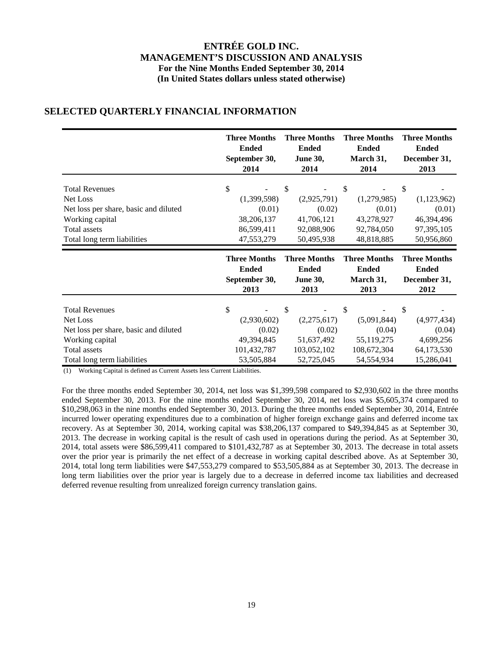|                                       | <b>Three Months</b> | <b>Three Months</b> | <b>Three Months</b> | <b>Three Months</b> |  |
|---------------------------------------|---------------------|---------------------|---------------------|---------------------|--|
|                                       | <b>Ended</b>        | <b>Ended</b>        | <b>Ended</b>        | <b>Ended</b>        |  |
|                                       | September 30,       | <b>June 30,</b>     | March 31,           | December 31,        |  |
|                                       | 2014                | 2014                | 2014                | 2013                |  |
| <b>Total Revenues</b>                 | \$                  | \$                  | \$                  | \$                  |  |
| Net Loss                              | (1,399,598)         | (2,925,791)         | (1,279,985)         | (1,123,962)         |  |
| Net loss per share, basic and diluted | (0.01)              | (0.02)              | (0.01)              | (0.01)              |  |
| Working capital                       | 38,206,137          | 41,706,121          | 43,278,927          | 46,394,496          |  |
| Total assets                          | 86,599,411          | 92,088,906          | 92,784,050          | 97,395,105          |  |
| Total long term liabilities           | 47,553,279          | 50,495,938          | 48,818,885          | 50,956,860          |  |
|                                       | <b>Three Months</b> | <b>Three Months</b> | <b>Three Months</b> | <b>Three Months</b> |  |
|                                       | <b>Ended</b>        | <b>Ended</b>        | <b>Ended</b>        | <b>Ended</b>        |  |
|                                       | September 30,       | <b>June 30,</b>     | March 31,           | December 31,        |  |
|                                       | 2013                | 2013                | 2013                | 2012                |  |
|                                       |                     |                     |                     |                     |  |

## **SELECTED QUARTERLY FINANCIAL INFORMATION**

(1) Working Capital is defined as Current Assets less Current Liabilities.

For the three months ended September 30, 2014, net loss was \$1,399,598 compared to \$2,930,602 in the three months ended September 30, 2013. For the nine months ended September 30, 2014, net loss was \$5,605,374 compared to \$10,298,063 in the nine months ended September 30, 2013. During the three months ended September 30, 2014, Entrée incurred lower operating expenditures due to a combination of higher foreign exchange gains and deferred income tax recovery. As at September 30, 2014, working capital was \$38,206,137 compared to \$49,394,845 as at September 30, 2013. The decrease in working capital is the result of cash used in operations during the period. As at September 30, 2014, total assets were \$86,599,411 compared to \$101,432,787 as at September 30, 2013. The decrease in total assets over the prior year is primarily the net effect of a decrease in working capital described above. As at September 30, 2014, total long term liabilities were \$47,553,279 compared to \$53,505,884 as at September 30, 2013. The decrease in long term liabilities over the prior year is largely due to a decrease in deferred income tax liabilities and decreased deferred revenue resulting from unrealized foreign currency translation gains.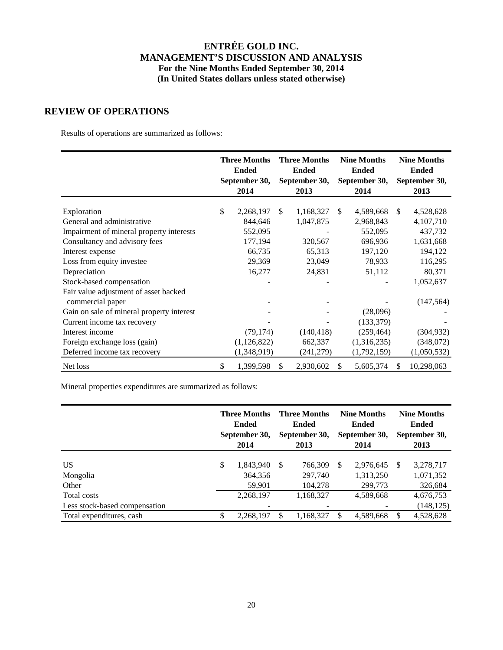## **REVIEW OF OPERATIONS**

Results of operations are summarized as follows:

|                                           | <b>Three Months</b><br><b>Ended</b><br>September 30,<br>2014 |               |     | <b>Three Months</b><br><b>Ended</b><br>September 30,<br>2013 |     | <b>Nine Months</b><br><b>Ended</b><br>September 30,<br>2014 | <b>Nine Months</b><br><b>Ended</b><br>September 30,<br>2013 |             |  |
|-------------------------------------------|--------------------------------------------------------------|---------------|-----|--------------------------------------------------------------|-----|-------------------------------------------------------------|-------------------------------------------------------------|-------------|--|
| Exploration                               | \$                                                           | 2,268,197     | \$. | 1,168,327                                                    | \$. | 4,589,668                                                   | <sup>\$</sup>                                               | 4,528,628   |  |
| General and administrative                |                                                              | 844,646       |     | 1,047,875                                                    |     | 2,968,843                                                   |                                                             | 4,107,710   |  |
| Impairment of mineral property interests  |                                                              | 552,095       |     |                                                              |     | 552,095                                                     |                                                             | 437,732     |  |
| Consultancy and advisory fees             |                                                              | 177,194       |     | 320,567                                                      |     | 696,936                                                     |                                                             | 1,631,668   |  |
| Interest expense                          |                                                              | 66,735        |     | 65,313                                                       |     | 197,120                                                     |                                                             | 194,122     |  |
| Loss from equity investee                 |                                                              | 29,369        |     | 23,049                                                       |     | 78,933                                                      |                                                             | 116,295     |  |
| Depreciation                              |                                                              | 16,277        |     | 24,831                                                       |     | 51,112                                                      |                                                             | 80,371      |  |
| Stock-based compensation                  |                                                              |               |     |                                                              |     |                                                             |                                                             | 1,052,637   |  |
| Fair value adjustment of asset backed     |                                                              |               |     |                                                              |     |                                                             |                                                             |             |  |
| commercial paper                          |                                                              |               |     |                                                              |     |                                                             |                                                             | (147, 564)  |  |
| Gain on sale of mineral property interest |                                                              |               |     |                                                              |     | (28,096)                                                    |                                                             |             |  |
| Current income tax recovery               |                                                              |               |     |                                                              |     | (133, 379)                                                  |                                                             |             |  |
| Interest income                           |                                                              | (79, 174)     |     | (140, 418)                                                   |     | (259, 464)                                                  |                                                             | (304, 932)  |  |
| Foreign exchange loss (gain)              |                                                              | (1, 126, 822) |     | 662,337                                                      |     | (1,316,235)                                                 |                                                             | (348,072)   |  |
| Deferred income tax recovery              |                                                              | (1,348,919)   |     | (241,279)                                                    |     | (1,792,159)                                                 |                                                             | (1,050,532) |  |
| Net loss                                  | \$                                                           | 1,399,598     | \$  | 2,930,602                                                    | \$  | 5,605,374                                                   | \$.                                                         | 10,298,063  |  |

Mineral properties expenditures are summarized as follows:

|                                              | <b>Three Months</b><br><b>Ended</b><br>September 30,<br>2014 |    | <b>Three Months</b><br><b>Ended</b><br>September 30,<br>2013 |     | <b>Nine Months</b><br><b>Ended</b><br>September 30,<br>2014 |     | <b>Nine Months</b><br><b>Ended</b><br>September 30,<br>2013 |
|----------------------------------------------|--------------------------------------------------------------|----|--------------------------------------------------------------|-----|-------------------------------------------------------------|-----|-------------------------------------------------------------|
| US<br>Mongolia<br>Other                      | \$<br>1,843,940<br>364,356<br>59,901                         | -S | 766,309<br>297,740<br>104,278                                | \$. | 2.976.645<br>1,313,250<br>299,773                           | -S  | 3,278,717<br>1,071,352<br>326,684                           |
| Total costs<br>Less stock-based compensation | 2,268,197                                                    |    | 1,168,327                                                    |     | 4,589,668                                                   |     | 4,676,753<br>(148, 125)                                     |
| Total expenditures, cash                     | \$<br>2,268,197                                              | \$ | 1,168,327                                                    |     | 4,589,668                                                   | \$. | 4,528,628                                                   |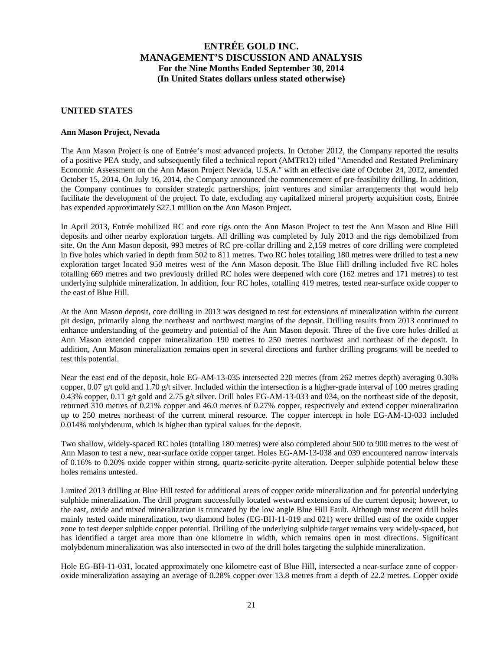## **UNITED STATES**

## **Ann Mason Project, Nevada**

The Ann Mason Project is one of Entrée's most advanced projects. In October 2012, the Company reported the results of a positive PEA study, and subsequently filed a technical report (AMTR12) titled "Amended and Restated Preliminary Economic Assessment on the Ann Mason Project Nevada, U.S.A." with an effective date of October 24, 2012, amended October 15, 2014. On July 16, 2014, the Company announced the commencement of pre-feasibility drilling. In addition, the Company continues to consider strategic partnerships, joint ventures and similar arrangements that would help facilitate the development of the project. To date, excluding any capitalized mineral property acquisition costs, Entrée has expended approximately \$27.1 million on the Ann Mason Project.

In April 2013, Entrée mobilized RC and core rigs onto the Ann Mason Project to test the Ann Mason and Blue Hill deposits and other nearby exploration targets. All drilling was completed by July 2013 and the rigs demobilized from site. On the Ann Mason deposit, 993 metres of RC pre-collar drilling and 2,159 metres of core drilling were completed in five holes which varied in depth from 502 to 811 metres. Two RC holes totalling 180 metres were drilled to test a new exploration target located 950 metres west of the Ann Mason deposit. The Blue Hill drilling included five RC holes totalling 669 metres and two previously drilled RC holes were deepened with core (162 metres and 171 metres) to test underlying sulphide mineralization. In addition, four RC holes, totalling 419 metres, tested near-surface oxide copper to the east of Blue Hill.

At the Ann Mason deposit, core drilling in 2013 was designed to test for extensions of mineralization within the current pit design, primarily along the northeast and northwest margins of the deposit. Drilling results from 2013 continued to enhance understanding of the geometry and potential of the Ann Mason deposit. Three of the five core holes drilled at Ann Mason extended copper mineralization 190 metres to 250 metres northwest and northeast of the deposit. In addition, Ann Mason mineralization remains open in several directions and further drilling programs will be needed to test this potential.

Near the east end of the deposit, hole EG-AM-13-035 intersected 220 metres (from 262 metres depth) averaging 0.30% copper, 0.07 g/t gold and 1.70 g/t silver. Included within the intersection is a higher-grade interval of 100 metres grading 0.43% copper, 0.11 g/t gold and 2.75 g/t silver. Drill holes EG-AM-13-033 and 034, on the northeast side of the deposit, returned 310 metres of 0.21% copper and 46.0 metres of 0.27% copper, respectively and extend copper mineralization up to 250 metres northeast of the current mineral resource. The copper intercept in hole EG-AM-13-033 included 0.014% molybdenum, which is higher than typical values for the deposit.

Two shallow, widely-spaced RC holes (totalling 180 metres) were also completed about 500 to 900 metres to the west of Ann Mason to test a new, near-surface oxide copper target. Holes EG-AM-13-038 and 039 encountered narrow intervals of 0.16% to 0.20% oxide copper within strong, quartz-sericite-pyrite alteration. Deeper sulphide potential below these holes remains untested.

Limited 2013 drilling at Blue Hill tested for additional areas of copper oxide mineralization and for potential underlying sulphide mineralization. The drill program successfully located westward extensions of the current deposit; however, to the east, oxide and mixed mineralization is truncated by the low angle Blue Hill Fault. Although most recent drill holes mainly tested oxide mineralization, two diamond holes (EG-BH-11-019 and 021) were drilled east of the oxide copper zone to test deeper sulphide copper potential. Drilling of the underlying sulphide target remains very widely-spaced, but has identified a target area more than one kilometre in width, which remains open in most directions. Significant molybdenum mineralization was also intersected in two of the drill holes targeting the sulphide mineralization.

Hole EG-BH-11-031, located approximately one kilometre east of Blue Hill, intersected a near-surface zone of copperoxide mineralization assaying an average of 0.28% copper over 13.8 metres from a depth of 22.2 metres. Copper oxide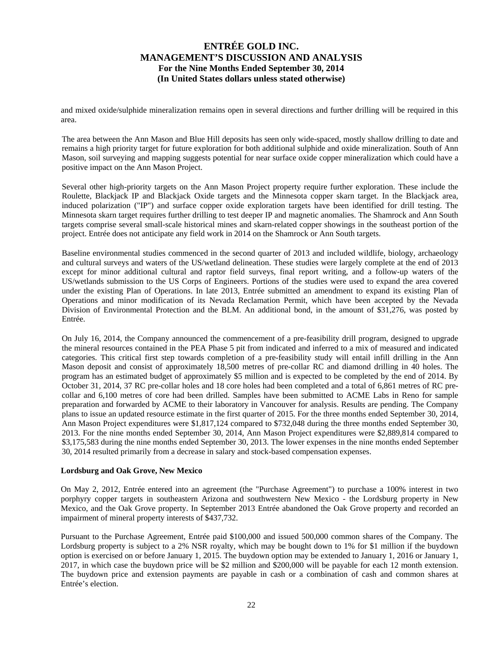and mixed oxide/sulphide mineralization remains open in several directions and further drilling will be required in this area.

The area between the Ann Mason and Blue Hill deposits has seen only wide-spaced, mostly shallow drilling to date and remains a high priority target for future exploration for both additional sulphide and oxide mineralization. South of Ann Mason, soil surveying and mapping suggests potential for near surface oxide copper mineralization which could have a positive impact on the Ann Mason Project.

Several other high-priority targets on the Ann Mason Project property require further exploration. These include the Roulette, Blackjack IP and Blackjack Oxide targets and the Minnesota copper skarn target. In the Blackjack area, induced polarization ("IP") and surface copper oxide exploration targets have been identified for drill testing. The Minnesota skarn target requires further drilling to test deeper IP and magnetic anomalies. The Shamrock and Ann South targets comprise several small-scale historical mines and skarn-related copper showings in the southeast portion of the project. Entrée does not anticipate any field work in 2014 on the Shamrock or Ann South targets.

Baseline environmental studies commenced in the second quarter of 2013 and included wildlife, biology, archaeology and cultural surveys and waters of the US/wetland delineation. These studies were largely complete at the end of 2013 except for minor additional cultural and raptor field surveys, final report writing, and a follow-up waters of the US/wetlands submission to the US Corps of Engineers. Portions of the studies were used to expand the area covered under the existing Plan of Operations. In late 2013, Entrée submitted an amendment to expand its existing Plan of Operations and minor modification of its Nevada Reclamation Permit, which have been accepted by the Nevada Division of Environmental Protection and the BLM. An additional bond, in the amount of \$31,276, was posted by Entrée.

On July 16, 2014, the Company announced the commencement of a pre-feasibility drill program, designed to upgrade the mineral resources contained in the PEA Phase 5 pit from indicated and inferred to a mix of measured and indicated categories. This critical first step towards completion of a pre-feasibility study will entail infill drilling in the Ann Mason deposit and consist of approximately 18,500 metres of pre-collar RC and diamond drilling in 40 holes. The program has an estimated budget of approximately \$5 million and is expected to be completed by the end of 2014. By October 31, 2014, 37 RC pre-collar holes and 18 core holes had been completed and a total of 6,861 metres of RC precollar and 6,100 metres of core had been drilled. Samples have been submitted to ACME Labs in Reno for sample preparation and forwarded by ACME to their laboratory in Vancouver for analysis. Results are pending. The Company plans to issue an updated resource estimate in the first quarter of 2015. For the three months ended September 30, 2014, Ann Mason Project expenditures were \$1,817,124 compared to \$732,048 during the three months ended September 30, 2013. For the nine months ended September 30, 2014, Ann Mason Project expenditures were \$2,889,814 compared to \$3,175,583 during the nine months ended September 30, 2013. The lower expenses in the nine months ended September 30, 2014 resulted primarily from a decrease in salary and stock-based compensation expenses.

#### **Lordsburg and Oak Grove, New Mexico**

On May 2, 2012, Entrée entered into an agreement (the "Purchase Agreement") to purchase a 100% interest in two porphyry copper targets in southeastern Arizona and southwestern New Mexico - the Lordsburg property in New Mexico, and the Oak Grove property. In September 2013 Entrée abandoned the Oak Grove property and recorded an impairment of mineral property interests of \$437,732.

Pursuant to the Purchase Agreement, Entrée paid \$100,000 and issued 500,000 common shares of the Company. The Lordsburg property is subject to a 2% NSR royalty, which may be bought down to 1% for \$1 million if the buydown option is exercised on or before January 1, 2015. The buydown option may be extended to January 1, 2016 or January 1, 2017, in which case the buydown price will be \$2 million and \$200,000 will be payable for each 12 month extension. The buydown price and extension payments are payable in cash or a combination of cash and common shares at Entrée's election.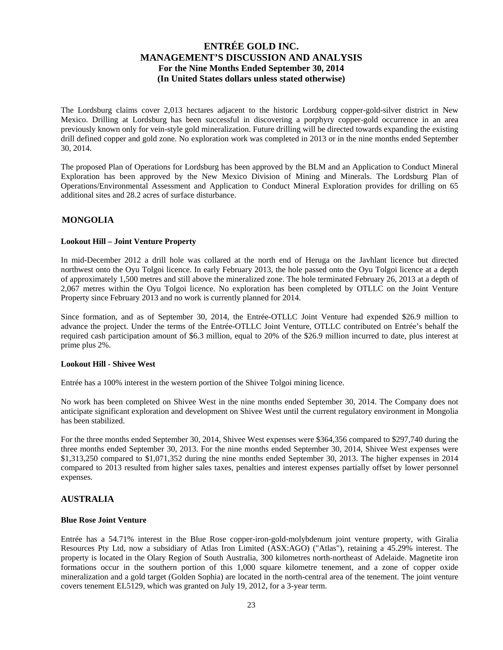The Lordsburg claims cover 2,013 hectares adjacent to the historic Lordsburg copper-gold-silver district in New Mexico. Drilling at Lordsburg has been successful in discovering a porphyry copper-gold occurrence in an area previously known only for vein-style gold mineralization. Future drilling will be directed towards expanding the existing drill defined copper and gold zone. No exploration work was completed in 2013 or in the nine months ended September 30, 2014.

The proposed Plan of Operations for Lordsburg has been approved by the BLM and an Application to Conduct Mineral Exploration has been approved by the New Mexico Division of Mining and Minerals. The Lordsburg Plan of Operations/Environmental Assessment and Application to Conduct Mineral Exploration provides for drilling on 65 additional sites and 28.2 acres of surface disturbance.

## **MONGOLIA**

## **Lookout Hill – Joint Venture Property**

In mid-December 2012 a drill hole was collared at the north end of Heruga on the Javhlant licence but directed northwest onto the Oyu Tolgoi licence. In early February 2013, the hole passed onto the Oyu Tolgoi licence at a depth of approximately 1,500 metres and still above the mineralized zone. The hole terminated February 26, 2013 at a depth of 2,067 metres within the Oyu Tolgoi licence. No exploration has been completed by OTLLC on the Joint Venture Property since February 2013 and no work is currently planned for 2014.

Since formation, and as of September 30, 2014, the Entrée-OTLLC Joint Venture had expended \$26.9 million to advance the project. Under the terms of the Entrée-OTLLC Joint Venture, OTLLC contributed on Entrée's behalf the required cash participation amount of \$6.3 million, equal to 20% of the \$26.9 million incurred to date, plus interest at prime plus 2%.

#### **Lookout Hill - Shivee West**

Entrée has a 100% interest in the western portion of the Shivee Tolgoi mining licence.

No work has been completed on Shivee West in the nine months ended September 30, 2014. The Company does not anticipate significant exploration and development on Shivee West until the current regulatory environment in Mongolia has been stabilized.

For the three months ended September 30, 2014, Shivee West expenses were \$364,356 compared to \$297,740 during the three months ended September 30, 2013. For the nine months ended September 30, 2014, Shivee West expenses were \$1,313,250 compared to \$1,071,352 during the nine months ended September 30, 2013. The higher expenses in 2014 compared to 2013 resulted from higher sales taxes, penalties and interest expenses partially offset by lower personnel expenses.

## **AUSTRALIA**

#### **Blue Rose Joint Venture**

Entrée has a 54.71% interest in the Blue Rose copper-iron-gold-molybdenum joint venture property, with Giralia Resources Pty Ltd, now a subsidiary of Atlas Iron Limited (ASX:AGO) ("Atlas"), retaining a 45.29% interest. The property is located in the Olary Region of South Australia, 300 kilometres north-northeast of Adelaide. Magnetite iron formations occur in the southern portion of this 1,000 square kilometre tenement, and a zone of copper oxide mineralization and a gold target (Golden Sophia) are located in the north-central area of the tenement. The joint venture covers tenement EL5129, which was granted on July 19, 2012, for a 3-year term.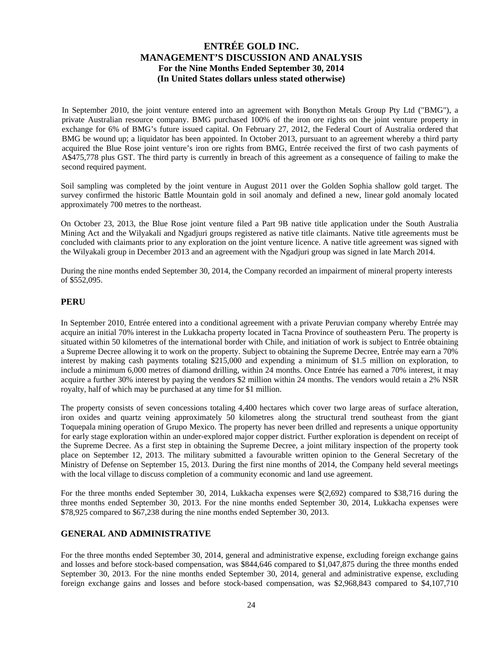In September 2010, the joint venture entered into an agreement with Bonython Metals Group Pty Ltd ("BMG"), a private Australian resource company. BMG purchased 100% of the iron ore rights on the joint venture property in exchange for 6% of BMG's future issued capital. On February 27, 2012, the Federal Court of Australia ordered that BMG be wound up; a liquidator has been appointed. In October 2013, pursuant to an agreement whereby a third party acquired the Blue Rose joint venture's iron ore rights from BMG, Entrée received the first of two cash payments of A\$475,778 plus GST. The third party is currently in breach of this agreement as a consequence of failing to make the second required payment.

Soil sampling was completed by the joint venture in August 2011 over the Golden Sophia shallow gold target. The survey confirmed the historic Battle Mountain gold in soil anomaly and defined a new, linear gold anomaly located approximately 700 metres to the northeast.

On October 23, 2013, the Blue Rose joint venture filed a Part 9B native title application under the South Australia Mining Act and the Wilyakali and Ngadjuri groups registered as native title claimants. Native title agreements must be concluded with claimants prior to any exploration on the joint venture licence. A native title agreement was signed with the Wilyakali group in December 2013 and an agreement with the Ngadjuri group was signed in late March 2014.

During the nine months ended September 30, 2014, the Company recorded an impairment of mineral property interests of \$552,095.

## **PERU**

In September 2010, Entrée entered into a conditional agreement with a private Peruvian company whereby Entrée may acquire an initial 70% interest in the Lukkacha property located in Tacna Province of southeastern Peru. The property is situated within 50 kilometres of the international border with Chile, and initiation of work is subject to Entrée obtaining a Supreme Decree allowing it to work on the property. Subject to obtaining the Supreme Decree, Entrée may earn a 70% interest by making cash payments totaling \$215,000 and expending a minimum of \$1.5 million on exploration, to include a minimum 6,000 metres of diamond drilling, within 24 months. Once Entrée has earned a 70% interest, it may acquire a further 30% interest by paying the vendors \$2 million within 24 months. The vendors would retain a 2% NSR royalty, half of which may be purchased at any time for \$1 million.

The property consists of seven concessions totaling 4,400 hectares which cover two large areas of surface alteration, iron oxides and quartz veining approximately 50 kilometres along the structural trend southeast from the giant Toquepala mining operation of Grupo Mexico. The property has never been drilled and represents a unique opportunity for early stage exploration within an under-explored major copper district. Further exploration is dependent on receipt of the Supreme Decree. As a first step in obtaining the Supreme Decree, a joint military inspection of the property took place on September 12, 2013. The military submitted a favourable written opinion to the General Secretary of the Ministry of Defense on September 15, 2013. During the first nine months of 2014, the Company held several meetings with the local village to discuss completion of a community economic and land use agreement.

For the three months ended September 30, 2014, Lukkacha expenses were \$(2,692) compared to \$38,716 during the three months ended September 30, 2013. For the nine months ended September 30, 2014, Lukkacha expenses were \$78,925 compared to \$67,238 during the nine months ended September 30, 2013.

## **GENERAL AND ADMINISTRATIVE**

For the three months ended September 30, 2014, general and administrative expense, excluding foreign exchange gains and losses and before stock-based compensation, was \$844,646 compared to \$1,047,875 during the three months ended September 30, 2013. For the nine months ended September 30, 2014, general and administrative expense, excluding foreign exchange gains and losses and before stock-based compensation, was \$2,968,843 compared to \$4,107,710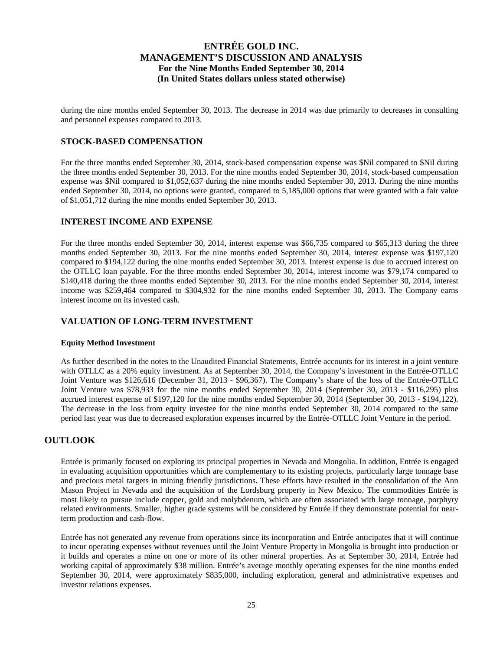during the nine months ended September 30, 2013. The decrease in 2014 was due primarily to decreases in consulting and personnel expenses compared to 2013.

## **STOCK-BASED COMPENSATION**

For the three months ended September 30, 2014, stock-based compensation expense was \$Nil compared to \$Nil during the three months ended September 30, 2013. For the nine months ended September 30, 2014, stock-based compensation expense was \$Nil compared to \$1,052,637 during the nine months ended September 30, 2013. During the nine months ended September 30, 2014, no options were granted, compared to 5,185,000 options that were granted with a fair value of \$1,051,712 during the nine months ended September 30, 2013.

## **INTEREST INCOME AND EXPENSE**

For the three months ended September 30, 2014, interest expense was \$66,735 compared to \$65,313 during the three months ended September 30, 2013. For the nine months ended September 30, 2014, interest expense was \$197,120 compared to \$194,122 during the nine months ended September 30, 2013. Interest expense is due to accrued interest on the OTLLC loan payable. For the three months ended September 30, 2014, interest income was \$79,174 compared to \$140,418 during the three months ended September 30, 2013. For the nine months ended September 30, 2014, interest income was \$259,464 compared to \$304,932 for the nine months ended September 30, 2013. The Company earns interest income on its invested cash.

## **VALUATION OF LONG-TERM INVESTMENT**

#### **Equity Method Investment**

As further described in the notes to the Unaudited Financial Statements, Entrée accounts for its interest in a joint venture with OTLLC as a 20% equity investment. As at September 30, 2014, the Company's investment in the Entrée-OTLLC Joint Venture was \$126,616 (December 31, 2013 - \$96,367). The Company's share of the loss of the Entrée-OTLLC Joint Venture was \$78,933 for the nine months ended September 30, 2014 (September 30, 2013 - \$116,295) plus accrued interest expense of \$197,120 for the nine months ended September 30, 2014 (September 30, 2013 - \$194,122). The decrease in the loss from equity investee for the nine months ended September 30, 2014 compared to the same period last year was due to decreased exploration expenses incurred by the Entrée-OTLLC Joint Venture in the period.

## **OUTLOOK**

Entrée is primarily focused on exploring its principal properties in Nevada and Mongolia. In addition, Entrée is engaged in evaluating acquisition opportunities which are complementary to its existing projects, particularly large tonnage base and precious metal targets in mining friendly jurisdictions. These efforts have resulted in the consolidation of the Ann Mason Project in Nevada and the acquisition of the Lordsburg property in New Mexico. The commodities Entrée is most likely to pursue include copper, gold and molybdenum, which are often associated with large tonnage, porphyry related environments. Smaller, higher grade systems will be considered by Entrée if they demonstrate potential for nearterm production and cash-flow.

Entrée has not generated any revenue from operations since its incorporation and Entrée anticipates that it will continue to incur operating expenses without revenues until the Joint Venture Property in Mongolia is brought into production or it builds and operates a mine on one or more of its other mineral properties. As at September 30, 2014, Entrée had working capital of approximately \$38 million. Entrée's average monthly operating expenses for the nine months ended September 30, 2014, were approximately \$835,000, including exploration, general and administrative expenses and investor relations expenses.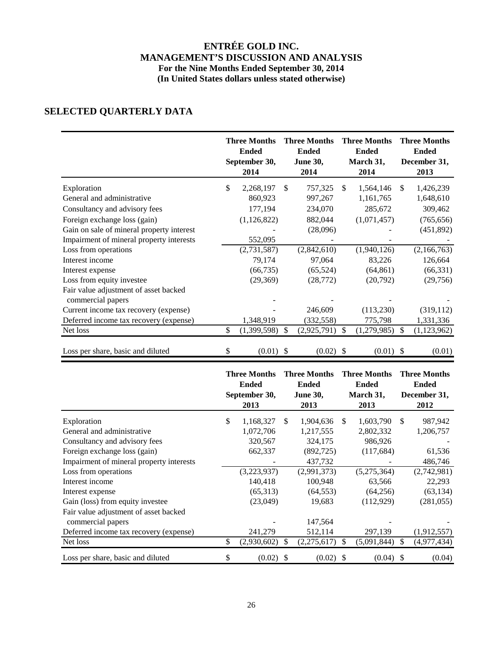# **SELECTED QUARTERLY DATA**

|                                                            | <b>Three Months</b><br><b>Ended</b><br>September 30,<br>2014 | <b>Three Months</b><br><b>Ended</b><br><b>June 30,</b><br>2014 |               | <b>Three Months</b><br><b>Ended</b><br>March 31,<br>2014 |     | <b>Three Months</b><br><b>Ended</b><br>December 31,<br>2013 |
|------------------------------------------------------------|--------------------------------------------------------------|----------------------------------------------------------------|---------------|----------------------------------------------------------|-----|-------------------------------------------------------------|
| Exploration                                                | \$<br>2,268,197                                              | \$<br>757,325                                                  | <sup>\$</sup> | 1,564,146                                                | \$. | 1,426,239                                                   |
| General and administrative                                 | 860,923                                                      | 997,267                                                        |               | 1,161,765                                                |     | 1,648,610                                                   |
| Consultancy and advisory fees                              | 177,194                                                      | 234,070                                                        |               | 285,672                                                  |     | 309,462                                                     |
| Foreign exchange loss (gain)                               | (1,126,822)                                                  | 882,044                                                        |               | (1,071,457)                                              |     | (765, 656)                                                  |
| Gain on sale of mineral property interest                  |                                                              | (28,096)                                                       |               |                                                          |     | (451, 892)                                                  |
| Impairment of mineral property interests                   | 552,095                                                      |                                                                |               |                                                          |     |                                                             |
| Loss from operations                                       | (2, 731, 587)                                                | (2,842,610)                                                    |               | (1,940,126)                                              |     | (2,166,763)                                                 |
| Interest income                                            | 79,174                                                       | 97,064                                                         |               | 83,226                                                   |     | 126,664                                                     |
| Interest expense                                           | (66, 735)                                                    | (65, 524)                                                      |               | (64, 861)                                                |     | (66, 331)                                                   |
| Loss from equity investee                                  | (29,369)                                                     | (28, 772)                                                      |               | (20, 792)                                                |     | (29,756)                                                    |
| Fair value adjustment of asset backed<br>commercial papers |                                                              |                                                                |               |                                                          |     |                                                             |
| Current income tax recovery (expense)                      |                                                              | 246,609                                                        |               | (113,230)                                                |     | (319, 112)                                                  |
| Deferred income tax recovery (expense)                     | 1,348,919                                                    | (332, 558)                                                     |               | 775,798                                                  |     | 1,331,336                                                   |
| Net loss                                                   | \$<br>(1,399,598)                                            | \$<br>(2,925,791)                                              | \$            | (1,279,985)                                              | \$. | (1, 123, 962)                                               |
| Loss per share, basic and diluted                          | \$<br>$(0.01)$ \$                                            | (0.02)                                                         | -S            | $(0.01)$ \$                                              |     | (0.01)                                                      |

|                                          |    | <b>Three Months</b><br><b>Ended</b><br>September 30,<br>2013 |    | <b>Three Months</b><br><b>Ended</b><br><b>June 30,</b><br>2013 |               | <b>Three Months</b><br><b>Ended</b><br>March 31,<br>2013 |    | <b>Three Months</b><br><b>Ended</b><br>December 31,<br>2012 |  |
|------------------------------------------|----|--------------------------------------------------------------|----|----------------------------------------------------------------|---------------|----------------------------------------------------------|----|-------------------------------------------------------------|--|
| Exploration                              | \$ | 1,168,327                                                    | S. | 1,904,636                                                      | <sup>\$</sup> | 1,603,790                                                | \$ | 987,942                                                     |  |
| General and administrative               |    | 1,072,706                                                    |    | 1,217,555                                                      |               | 2,802,332                                                |    | 1,206,757                                                   |  |
| Consultancy and advisory fees            |    | 320,567                                                      |    | 324,175                                                        |               | 986,926                                                  |    |                                                             |  |
| Foreign exchange loss (gain)             |    | 662,337                                                      |    | (892, 725)                                                     |               | (117, 684)                                               |    | 61,536                                                      |  |
| Impairment of mineral property interests |    |                                                              |    | 437,732                                                        |               |                                                          |    | 486,746                                                     |  |
| Loss from operations                     |    | (3,223,937)                                                  |    | (2,991,373)                                                    |               | (5,275,364)                                              |    | (2,742,981)                                                 |  |
| Interest income                          |    | 140,418                                                      |    | 100,948                                                        |               | 63,566                                                   |    | 22,293                                                      |  |
| Interest expense                         |    | (65,313)                                                     |    | (64, 553)                                                      |               | (64,256)                                                 |    | (63, 134)                                                   |  |
| Gain (loss) from equity investee         |    | (23,049)                                                     |    | 19,683                                                         |               | (112,929)                                                |    | (281, 055)                                                  |  |
| Fair value adjustment of asset backed    |    |                                                              |    |                                                                |               |                                                          |    |                                                             |  |
| commercial papers                        |    |                                                              |    | 147,564                                                        |               |                                                          |    |                                                             |  |
| Deferred income tax recovery (expense)   |    | 241,279                                                      |    | 512,114                                                        |               | 297,139                                                  |    | (1,912,557)                                                 |  |
| Net loss                                 | \$ | (2,930,602)                                                  | S  | (2,275,617)                                                    | <sup>\$</sup> | (5,091,844)                                              | \$ | (4,977,434)                                                 |  |
| Loss per share, basic and diluted        | \$ | $(0.02)$ \$                                                  |    | $(0.02)$ \$                                                    |               | (0.04)                                                   | -S | (0.04)                                                      |  |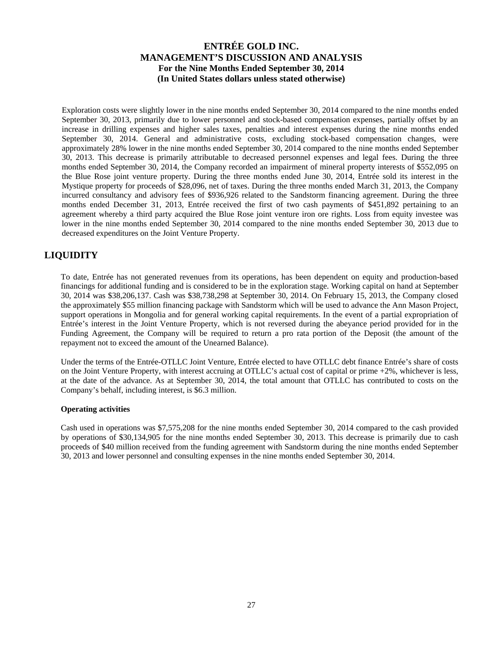Exploration costs were slightly lower in the nine months ended September 30, 2014 compared to the nine months ended September 30, 2013, primarily due to lower personnel and stock-based compensation expenses, partially offset by an increase in drilling expenses and higher sales taxes, penalties and interest expenses during the nine months ended September 30, 2014. General and administrative costs, excluding stock-based compensation changes, were approximately 28% lower in the nine months ended September 30, 2014 compared to the nine months ended September 30, 2013. This decrease is primarily attributable to decreased personnel expenses and legal fees. During the three months ended September 30, 2014, the Company recorded an impairment of mineral property interests of \$552,095 on the Blue Rose joint venture property. During the three months ended June 30, 2014, Entrée sold its interest in the Mystique property for proceeds of \$28,096, net of taxes. During the three months ended March 31, 2013, the Company incurred consultancy and advisory fees of \$936,926 related to the Sandstorm financing agreement. During the three months ended December 31, 2013, Entrée received the first of two cash payments of \$451,892 pertaining to an agreement whereby a third party acquired the Blue Rose joint venture iron ore rights. Loss from equity investee was lower in the nine months ended September 30, 2014 compared to the nine months ended September 30, 2013 due to decreased expenditures on the Joint Venture Property.

# **LIQUIDITY**

To date, Entrée has not generated revenues from its operations, has been dependent on equity and production-based financings for additional funding and is considered to be in the exploration stage. Working capital on hand at September 30, 2014 was \$38,206,137. Cash was \$38,738,298 at September 30, 2014. On February 15, 2013, the Company closed the approximately \$55 million financing package with Sandstorm which will be used to advance the Ann Mason Project, support operations in Mongolia and for general working capital requirements. In the event of a partial expropriation of Entrée's interest in the Joint Venture Property, which is not reversed during the abeyance period provided for in the Funding Agreement, the Company will be required to return a pro rata portion of the Deposit (the amount of the repayment not to exceed the amount of the Unearned Balance).

Under the terms of the Entrée-OTLLC Joint Venture, Entrée elected to have OTLLC debt finance Entrée's share of costs on the Joint Venture Property, with interest accruing at OTLLC's actual cost of capital or prime +2%, whichever is less, at the date of the advance. As at September 30, 2014, the total amount that OTLLC has contributed to costs on the Company's behalf, including interest, is \$6.3 million.

## **Operating activities**

Cash used in operations was \$7,575,208 for the nine months ended September 30, 2014 compared to the cash provided by operations of \$30,134,905 for the nine months ended September 30, 2013. This decrease is primarily due to cash proceeds of \$40 million received from the funding agreement with Sandstorm during the nine months ended September 30, 2013 and lower personnel and consulting expenses in the nine months ended September 30, 2014.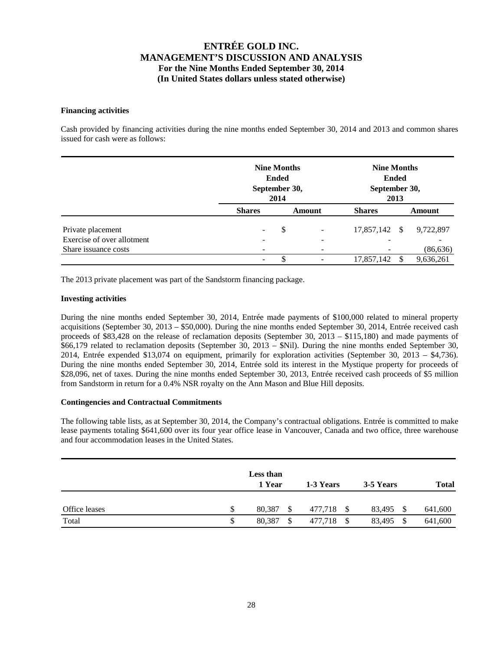## **Financing activities**

Cash provided by financing activities during the nine months ended September 30, 2014 and 2013 and common shares issued for cash were as follows:

|                            |                              | <b>Nine Months</b><br><b>Ended</b><br>September 30,<br>2014 |                |               |    | <b>Nine Months</b><br><b>Ended</b><br>September 30,<br>2013 |  |  |  |  |  |
|----------------------------|------------------------------|-------------------------------------------------------------|----------------|---------------|----|-------------------------------------------------------------|--|--|--|--|--|
|                            | <b>Shares</b>                | Amount                                                      |                | <b>Shares</b> |    | Amount                                                      |  |  |  |  |  |
| Private placement          | $\overline{\phantom{a}}$     | \$                                                          | $\overline{a}$ | 17,857,142    | -S | 9,722,897                                                   |  |  |  |  |  |
| Exercise of over allotment | $\qquad \qquad \blacksquare$ |                                                             | -              |               |    |                                                             |  |  |  |  |  |
| Share issuance costs       | $\qquad \qquad \blacksquare$ |                                                             |                |               |    | (86, 636)                                                   |  |  |  |  |  |
|                            | $\overline{\phantom{a}}$     | S                                                           |                | 17,857,142    | -S | 9,636,261                                                   |  |  |  |  |  |

The 2013 private placement was part of the Sandstorm financing package.

## **Investing activities**

During the nine months ended September 30, 2014, Entrée made payments of \$100,000 related to mineral property acquisitions (September 30, 2013 – \$50,000). During the nine months ended September 30, 2014, Entrée received cash proceeds of \$83,428 on the release of reclamation deposits (September 30, 2013 – \$115,180) and made payments of \$66,179 related to reclamation deposits (September 30, 2013 – \$Nil). During the nine months ended September 30, 2014, Entrée expended \$13,074 on equipment, primarily for exploration activities (September 30, 2013 – \$4,736). During the nine months ended September 30, 2014, Entrée sold its interest in the Mystique property for proceeds of \$28,096, net of taxes. During the nine months ended September 30, 2013, Entrée received cash proceeds of \$5 million from Sandstorm in return for a 0.4% NSR royalty on the Ann Mason and Blue Hill deposits.

#### **Contingencies and Contractual Commitments**

The following table lists, as at September 30, 2014, the Company's contractual obligations. Entrée is committed to make lease payments totaling \$641,600 over its four year office lease in Vancouver, Canada and two office, three warehouse and four accommodation leases in the United States.

|               |               | Less than<br>1 Year |  | 1-3 Years |    | 3-5 Years |  | <b>Total</b> |  |
|---------------|---------------|---------------------|--|-----------|----|-----------|--|--------------|--|
| Office leases | \$            | 80,387              |  | 477,718   | \$ | 83,495    |  | 641,600      |  |
| Total         | <sup>\$</sup> | 80,387              |  | 477,718   |    | 83,495    |  | 641,600      |  |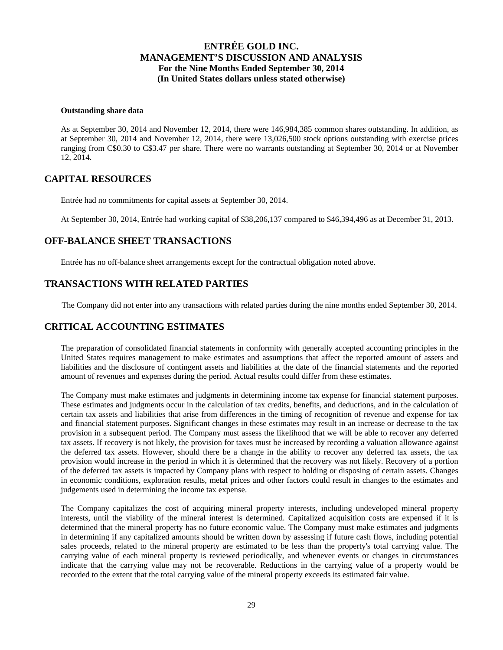#### **Outstanding share data**

As at September 30, 2014 and November 12, 2014, there were 146,984,385 common shares outstanding. In addition, as at September 30, 2014 and November 12, 2014, there were 13,026,500 stock options outstanding with exercise prices ranging from C\$0.30 to C\$3.47 per share. There were no warrants outstanding at September 30, 2014 or at November 12, 2014.

## **CAPITAL RESOURCES**

Entrée had no commitments for capital assets at September 30, 2014.

At September 30, 2014, Entrée had working capital of \$38,206,137 compared to \$46,394,496 as at December 31, 2013.

## **OFF-BALANCE SHEET TRANSACTIONS**

Entrée has no off-balance sheet arrangements except for the contractual obligation noted above.

## **TRANSACTIONS WITH RELATED PARTIES**

The Company did not enter into any transactions with related parties during the nine months ended September 30, 2014.

## **CRITICAL ACCOUNTING ESTIMATES**

The preparation of consolidated financial statements in conformity with generally accepted accounting principles in the United States requires management to make estimates and assumptions that affect the reported amount of assets and liabilities and the disclosure of contingent assets and liabilities at the date of the financial statements and the reported amount of revenues and expenses during the period. Actual results could differ from these estimates.

The Company must make estimates and judgments in determining income tax expense for financial statement purposes. These estimates and judgments occur in the calculation of tax credits, benefits, and deductions, and in the calculation of certain tax assets and liabilities that arise from differences in the timing of recognition of revenue and expense for tax and financial statement purposes. Significant changes in these estimates may result in an increase or decrease to the tax provision in a subsequent period. The Company must assess the likelihood that we will be able to recover any deferred tax assets. If recovery is not likely, the provision for taxes must be increased by recording a valuation allowance against the deferred tax assets. However, should there be a change in the ability to recover any deferred tax assets, the tax provision would increase in the period in which it is determined that the recovery was not likely. Recovery of a portion of the deferred tax assets is impacted by Company plans with respect to holding or disposing of certain assets. Changes in economic conditions, exploration results, metal prices and other factors could result in changes to the estimates and judgements used in determining the income tax expense.

The Company capitalizes the cost of acquiring mineral property interests, including undeveloped mineral property interests, until the viability of the mineral interest is determined. Capitalized acquisition costs are expensed if it is determined that the mineral property has no future economic value. The Company must make estimates and judgments in determining if any capitalized amounts should be written down by assessing if future cash flows, including potential sales proceeds, related to the mineral property are estimated to be less than the property's total carrying value. The carrying value of each mineral property is reviewed periodically, and whenever events or changes in circumstances indicate that the carrying value may not be recoverable. Reductions in the carrying value of a property would be recorded to the extent that the total carrying value of the mineral property exceeds its estimated fair value.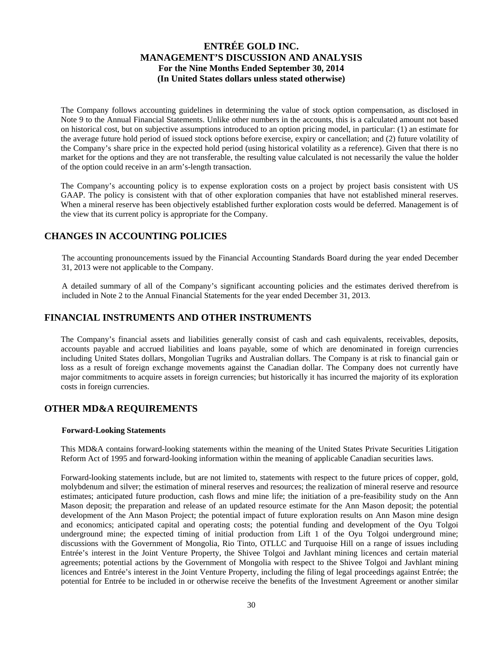The Company follows accounting guidelines in determining the value of stock option compensation, as disclosed in Note 9 to the Annual Financial Statements. Unlike other numbers in the accounts, this is a calculated amount not based on historical cost, but on subjective assumptions introduced to an option pricing model, in particular: (1) an estimate for the average future hold period of issued stock options before exercise, expiry or cancellation; and (2) future volatility of the Company's share price in the expected hold period (using historical volatility as a reference). Given that there is no market for the options and they are not transferable, the resulting value calculated is not necessarily the value the holder of the option could receive in an arm's-length transaction.

The Company's accounting policy is to expense exploration costs on a project by project basis consistent with US GAAP. The policy is consistent with that of other exploration companies that have not established mineral reserves. When a mineral reserve has been objectively established further exploration costs would be deferred. Management is of the view that its current policy is appropriate for the Company.

## **CHANGES IN ACCOUNTING POLICIES**

The accounting pronouncements issued by the Financial Accounting Standards Board during the year ended December 31, 2013 were not applicable to the Company.

A detailed summary of all of the Company's significant accounting policies and the estimates derived therefrom is included in Note 2 to the Annual Financial Statements for the year ended December 31, 2013.

## **FINANCIAL INSTRUMENTS AND OTHER INSTRUMENTS**

The Company's financial assets and liabilities generally consist of cash and cash equivalents, receivables, deposits, accounts payable and accrued liabilities and loans payable, some of which are denominated in foreign currencies including United States dollars, Mongolian Tugriks and Australian dollars. The Company is at risk to financial gain or loss as a result of foreign exchange movements against the Canadian dollar. The Company does not currently have major commitments to acquire assets in foreign currencies; but historically it has incurred the majority of its exploration costs in foreign currencies.

# **OTHER MD&A REQUIREMENTS**

## **Forward-Looking Statements**

This MD&A contains forward-looking statements within the meaning of the United States Private Securities Litigation Reform Act of 1995 and forward-looking information within the meaning of applicable Canadian securities laws.

Forward-looking statements include, but are not limited to, statements with respect to the future prices of copper, gold, molybdenum and silver; the estimation of mineral reserves and resources; the realization of mineral reserve and resource estimates; anticipated future production, cash flows and mine life; the initiation of a pre-feasibility study on the Ann Mason deposit; the preparation and release of an updated resource estimate for the Ann Mason deposit; the potential development of the Ann Mason Project; the potential impact of future exploration results on Ann Mason mine design and economics; anticipated capital and operating costs; the potential funding and development of the Oyu Tolgoi underground mine; the expected timing of initial production from Lift 1 of the Oyu Tolgoi underground mine; discussions with the Government of Mongolia, Rio Tinto, OTLLC and Turquoise Hill on a range of issues including Entrée's interest in the Joint Venture Property, the Shivee Tolgoi and Javhlant mining licences and certain material agreements; potential actions by the Government of Mongolia with respect to the Shivee Tolgoi and Javhlant mining licences and Entrée's interest in the Joint Venture Property, including the filing of legal proceedings against Entrée; the potential for Entrée to be included in or otherwise receive the benefits of the Investment Agreement or another similar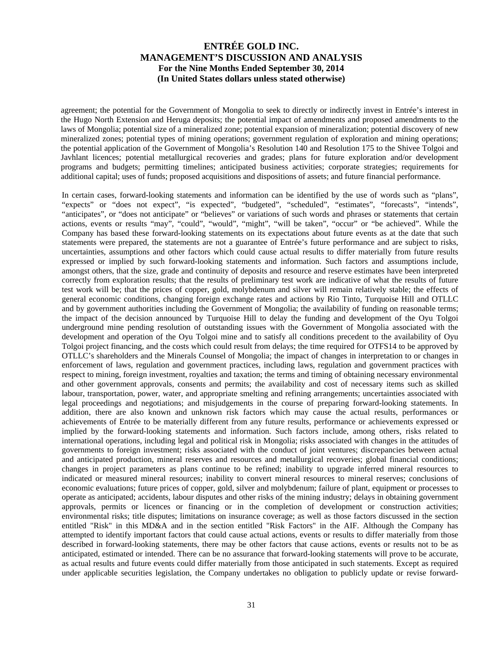agreement; the potential for the Government of Mongolia to seek to directly or indirectly invest in Entrée's interest in the Hugo North Extension and Heruga deposits; the potential impact of amendments and proposed amendments to the laws of Mongolia; potential size of a mineralized zone; potential expansion of mineralization; potential discovery of new mineralized zones; potential types of mining operations; government regulation of exploration and mining operations; the potential application of the Government of Mongolia's Resolution 140 and Resolution 175 to the Shivee Tolgoi and Javhlant licences; potential metallurgical recoveries and grades; plans for future exploration and/or development programs and budgets; permitting timelines; anticipated business activities; corporate strategies; requirements for additional capital; uses of funds; proposed acquisitions and dispositions of assets; and future financial performance.

In certain cases, forward-looking statements and information can be identified by the use of words such as "plans", "expects" or "does not expect", "is expected", "budgeted", "scheduled", "estimates", "forecasts", "intends", "anticipates", or "does not anticipate" or "believes" or variations of such words and phrases or statements that certain actions, events or results "may", "could", "would", "might", "will be taken", "occur" or "be achieved". While the Company has based these forward-looking statements on its expectations about future events as at the date that such statements were prepared, the statements are not a guarantee of Entrée's future performance and are subject to risks, uncertainties, assumptions and other factors which could cause actual results to differ materially from future results expressed or implied by such forward-looking statements and information. Such factors and assumptions include, amongst others, that the size, grade and continuity of deposits and resource and reserve estimates have been interpreted correctly from exploration results; that the results of preliminary test work are indicative of what the results of future test work will be; that the prices of copper, gold, molybdenum and silver will remain relatively stable; the effects of general economic conditions, changing foreign exchange rates and actions by Rio Tinto, Turquoise Hill and OTLLC and by government authorities including the Government of Mongolia; the availability of funding on reasonable terms; the impact of the decision announced by Turquoise Hill to delay the funding and development of the Oyu Tolgoi underground mine pending resolution of outstanding issues with the Government of Mongolia associated with the development and operation of the Oyu Tolgoi mine and to satisfy all conditions precedent to the availability of Oyu Tolgoi project financing, and the costs which could result from delays; the time required for OTFS14 to be approved by OTLLC's shareholders and the Minerals Counsel of Mongolia; the impact of changes in interpretation to or changes in enforcement of laws, regulation and government practices, including laws, regulation and government practices with respect to mining, foreign investment, royalties and taxation; the terms and timing of obtaining necessary environmental and other government approvals, consents and permits; the availability and cost of necessary items such as skilled labour, transportation, power, water, and appropriate smelting and refining arrangements; uncertainties associated with legal proceedings and negotiations; and misjudgements in the course of preparing forward-looking statements. In addition, there are also known and unknown risk factors which may cause the actual results, performances or achievements of Entrée to be materially different from any future results, performance or achievements expressed or implied by the forward-looking statements and information. Such factors include, among others, risks related to international operations, including legal and political risk in Mongolia; risks associated with changes in the attitudes of governments to foreign investment; risks associated with the conduct of joint ventures; discrepancies between actual and anticipated production, mineral reserves and resources and metallurgical recoveries; global financial conditions; changes in project parameters as plans continue to be refined; inability to upgrade inferred mineral resources to indicated or measured mineral resources; inability to convert mineral resources to mineral reserves; conclusions of economic evaluations; future prices of copper, gold, silver and molybdenum; failure of plant, equipment or processes to operate as anticipated; accidents, labour disputes and other risks of the mining industry; delays in obtaining government approvals, permits or licences or financing or in the completion of development or construction activities; environmental risks; title disputes; limitations on insurance coverage; as well as those factors discussed in the section entitled "Risk" in this MD&A and in the section entitled "Risk Factors" in the AIF. Although the Company has attempted to identify important factors that could cause actual actions, events or results to differ materially from those described in forward-looking statements, there may be other factors that cause actions, events or results not to be as anticipated, estimated or intended. There can be no assurance that forward-looking statements will prove to be accurate, as actual results and future events could differ materially from those anticipated in such statements. Except as required under applicable securities legislation, the Company undertakes no obligation to publicly update or revise forward-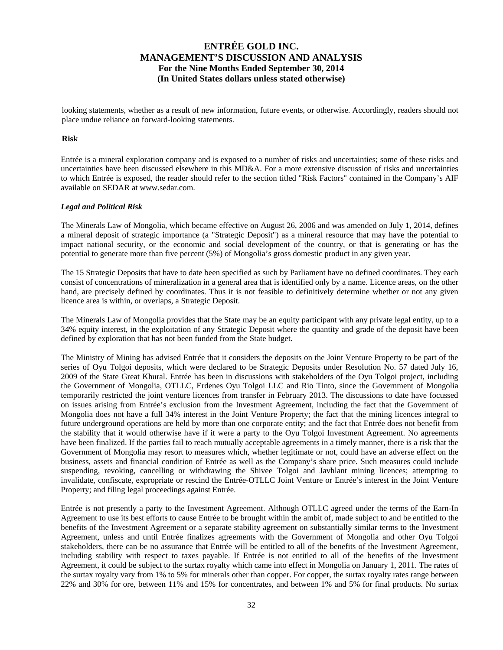looking statements, whether as a result of new information, future events, or otherwise. Accordingly, readers should not place undue reliance on forward-looking statements.

#### **Risk**

Entrée is a mineral exploration company and is exposed to a number of risks and uncertainties; some of these risks and uncertainties have been discussed elsewhere in this MD&A. For a more extensive discussion of risks and uncertainties to which Entrée is exposed, the reader should refer to the section titled "Risk Factors" contained in the Company's AIF available on SEDAR at www.sedar.com.

#### *Legal and Political Risk*

The Minerals Law of Mongolia, which became effective on August 26, 2006 and was amended on July 1, 2014, defines a mineral deposit of strategic importance (a "Strategic Deposit") as a mineral resource that may have the potential to impact national security, or the economic and social development of the country, or that is generating or has the potential to generate more than five percent (5%) of Mongolia's gross domestic product in any given year.

The 15 Strategic Deposits that have to date been specified as such by Parliament have no defined coordinates. They each consist of concentrations of mineralization in a general area that is identified only by a name. Licence areas, on the other hand, are precisely defined by coordinates. Thus it is not feasible to definitively determine whether or not any given licence area is within, or overlaps, a Strategic Deposit.

The Minerals Law of Mongolia provides that the State may be an equity participant with any private legal entity, up to a 34% equity interest, in the exploitation of any Strategic Deposit where the quantity and grade of the deposit have been defined by exploration that has not been funded from the State budget.

The Ministry of Mining has advised Entrée that it considers the deposits on the Joint Venture Property to be part of the series of Oyu Tolgoi deposits, which were declared to be Strategic Deposits under Resolution No. 57 dated July 16, 2009 of the State Great Khural. Entrée has been in discussions with stakeholders of the Oyu Tolgoi project, including the Government of Mongolia, OTLLC, Erdenes Oyu Tolgoi LLC and Rio Tinto, since the Government of Mongolia temporarily restricted the joint venture licences from transfer in February 2013. The discussions to date have focussed on issues arising from Entrée's exclusion from the Investment Agreement, including the fact that the Government of Mongolia does not have a full 34% interest in the Joint Venture Property; the fact that the mining licences integral to future underground operations are held by more than one corporate entity; and the fact that Entrée does not benefit from the stability that it would otherwise have if it were a party to the Oyu Tolgoi Investment Agreement. No agreements have been finalized. If the parties fail to reach mutually acceptable agreements in a timely manner, there is a risk that the Government of Mongolia may resort to measures which, whether legitimate or not, could have an adverse effect on the business, assets and financial condition of Entrée as well as the Company's share price. Such measures could include suspending, revoking, cancelling or withdrawing the Shivee Tolgoi and Javhlant mining licences; attempting to invalidate, confiscate, expropriate or rescind the Entrée-OTLLC Joint Venture or Entrée's interest in the Joint Venture Property; and filing legal proceedings against Entrée.

Entrée is not presently a party to the Investment Agreement. Although OTLLC agreed under the terms of the Earn-In Agreement to use its best efforts to cause Entrée to be brought within the ambit of, made subject to and be entitled to the benefits of the Investment Agreement or a separate stability agreement on substantially similar terms to the Investment Agreement, unless and until Entrée finalizes agreements with the Government of Mongolia and other Oyu Tolgoi stakeholders, there can be no assurance that Entrée will be entitled to all of the benefits of the Investment Agreement, including stability with respect to taxes payable. If Entrée is not entitled to all of the benefits of the Investment Agreement, it could be subject to the surtax royalty which came into effect in Mongolia on January 1, 2011. The rates of the surtax royalty vary from 1% to 5% for minerals other than copper. For copper, the surtax royalty rates range between 22% and 30% for ore, between 11% and 15% for concentrates, and between 1% and 5% for final products. No surtax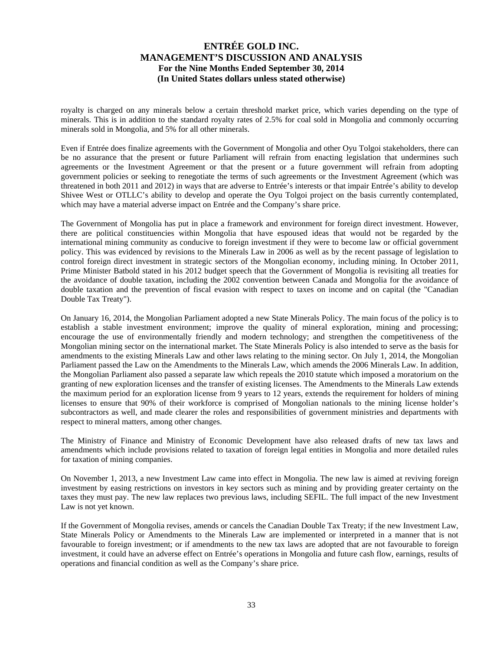royalty is charged on any minerals below a certain threshold market price, which varies depending on the type of minerals. This is in addition to the standard royalty rates of 2.5% for coal sold in Mongolia and commonly occurring minerals sold in Mongolia, and 5% for all other minerals.

Even if Entrée does finalize agreements with the Government of Mongolia and other Oyu Tolgoi stakeholders, there can be no assurance that the present or future Parliament will refrain from enacting legislation that undermines such agreements or the Investment Agreement or that the present or a future government will refrain from adopting government policies or seeking to renegotiate the terms of such agreements or the Investment Agreement (which was threatened in both 2011 and 2012) in ways that are adverse to Entrée's interests or that impair Entrée's ability to develop Shivee West or OTLLC's ability to develop and operate the Oyu Tolgoi project on the basis currently contemplated, which may have a material adverse impact on Entrée and the Company's share price.

The Government of Mongolia has put in place a framework and environment for foreign direct investment. However, there are political constituencies within Mongolia that have espoused ideas that would not be regarded by the international mining community as conducive to foreign investment if they were to become law or official government policy. This was evidenced by revisions to the Minerals Law in 2006 as well as by the recent passage of legislation to control foreign direct investment in strategic sectors of the Mongolian economy, including mining. In October 2011, Prime Minister Batbold stated in his 2012 budget speech that the Government of Mongolia is revisiting all treaties for the avoidance of double taxation, including the 2002 convention between Canada and Mongolia for the avoidance of double taxation and the prevention of fiscal evasion with respect to taxes on income and on capital (the "Canadian Double Tax Treaty").

On January 16, 2014, the Mongolian Parliament adopted a new State Minerals Policy. The main focus of the policy is to establish a stable investment environment; improve the quality of mineral exploration, mining and processing; encourage the use of environmentally friendly and modern technology; and strengthen the competitiveness of the Mongolian mining sector on the international market. The State Minerals Policy is also intended to serve as the basis for amendments to the existing Minerals Law and other laws relating to the mining sector. On July 1, 2014, the Mongolian Parliament passed the Law on the Amendments to the Minerals Law, which amends the 2006 Minerals Law. In addition, the Mongolian Parliament also passed a separate law which repeals the 2010 statute which imposed a moratorium on the granting of new exploration licenses and the transfer of existing licenses. The Amendments to the Minerals Law extends the maximum period for an exploration license from 9 years to 12 years, extends the requirement for holders of mining licenses to ensure that 90% of their workforce is comprised of Mongolian nationals to the mining license holder's subcontractors as well, and made clearer the roles and responsibilities of government ministries and departments with respect to mineral matters, among other changes.

The Ministry of Finance and Ministry of Economic Development have also released drafts of new tax laws and amendments which include provisions related to taxation of foreign legal entities in Mongolia and more detailed rules for taxation of mining companies.

On November 1, 2013, a new Investment Law came into effect in Mongolia. The new law is aimed at reviving foreign investment by easing restrictions on investors in key sectors such as mining and by providing greater certainty on the taxes they must pay. The new law replaces two previous laws, including SEFIL. The full impact of the new Investment Law is not yet known.

If the Government of Mongolia revises, amends or cancels the Canadian Double Tax Treaty; if the new Investment Law, State Minerals Policy or Amendments to the Minerals Law are implemented or interpreted in a manner that is not favourable to foreign investment; or if amendments to the new tax laws are adopted that are not favourable to foreign investment, it could have an adverse effect on Entrée's operations in Mongolia and future cash flow, earnings, results of operations and financial condition as well as the Company's share price.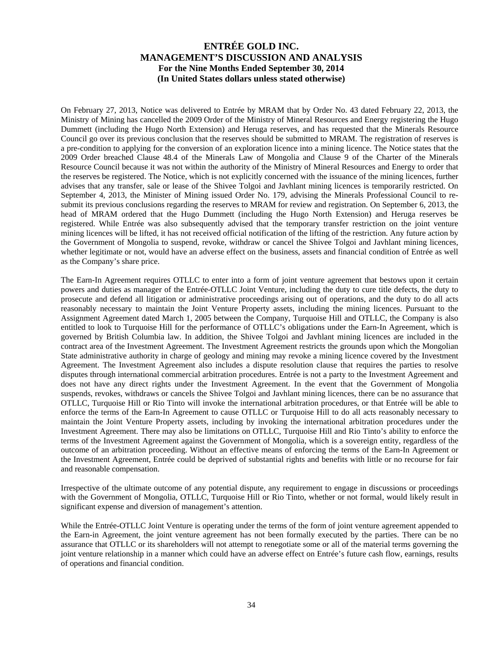On February 27, 2013, Notice was delivered to Entrée by MRAM that by Order No. 43 dated February 22, 2013, the Ministry of Mining has cancelled the 2009 Order of the Ministry of Mineral Resources and Energy registering the Hugo Dummett (including the Hugo North Extension) and Heruga reserves, and has requested that the Minerals Resource Council go over its previous conclusion that the reserves should be submitted to MRAM. The registration of reserves is a pre-condition to applying for the conversion of an exploration licence into a mining licence. The Notice states that the 2009 Order breached Clause 48.4 of the Minerals Law of Mongolia and Clause 9 of the Charter of the Minerals Resource Council because it was not within the authority of the Ministry of Mineral Resources and Energy to order that the reserves be registered. The Notice, which is not explicitly concerned with the issuance of the mining licences, further advises that any transfer, sale or lease of the Shivee Tolgoi and Javhlant mining licences is temporarily restricted. On September 4, 2013, the Minister of Mining issued Order No. 179, advising the Minerals Professional Council to resubmit its previous conclusions regarding the reserves to MRAM for review and registration. On September 6, 2013, the head of MRAM ordered that the Hugo Dummett (including the Hugo North Extension) and Heruga reserves be registered. While Entrée was also subsequently advised that the temporary transfer restriction on the joint venture mining licences will be lifted, it has not received official notification of the lifting of the restriction. Any future action by the Government of Mongolia to suspend, revoke, withdraw or cancel the Shivee Tolgoi and Javhlant mining licences, whether legitimate or not, would have an adverse effect on the business, assets and financial condition of Entrée as well as the Company's share price.

The Earn-In Agreement requires OTLLC to enter into a form of joint venture agreement that bestows upon it certain powers and duties as manager of the Entrée-OTLLC Joint Venture, including the duty to cure title defects, the duty to prosecute and defend all litigation or administrative proceedings arising out of operations, and the duty to do all acts reasonably necessary to maintain the Joint Venture Property assets, including the mining licences. Pursuant to the Assignment Agreement dated March 1, 2005 between the Company, Turquoise Hill and OTLLC, the Company is also entitled to look to Turquoise Hill for the performance of OTLLC's obligations under the Earn-In Agreement, which is governed by British Columbia law. In addition, the Shivee Tolgoi and Javhlant mining licences are included in the contract area of the Investment Agreement. The Investment Agreement restricts the grounds upon which the Mongolian State administrative authority in charge of geology and mining may revoke a mining licence covered by the Investment Agreement. The Investment Agreement also includes a dispute resolution clause that requires the parties to resolve disputes through international commercial arbitration procedures. Entrée is not a party to the Investment Agreement and does not have any direct rights under the Investment Agreement. In the event that the Government of Mongolia suspends, revokes, withdraws or cancels the Shivee Tolgoi and Javhlant mining licences, there can be no assurance that OTLLC, Turquoise Hill or Rio Tinto will invoke the international arbitration procedures, or that Entrée will be able to enforce the terms of the Earn-In Agreement to cause OTLLC or Turquoise Hill to do all acts reasonably necessary to maintain the Joint Venture Property assets, including by invoking the international arbitration procedures under the Investment Agreement. There may also be limitations on OTLLC, Turquoise Hill and Rio Tinto's ability to enforce the terms of the Investment Agreement against the Government of Mongolia, which is a sovereign entity, regardless of the outcome of an arbitration proceeding. Without an effective means of enforcing the terms of the Earn-In Agreement or the Investment Agreement, Entrée could be deprived of substantial rights and benefits with little or no recourse for fair and reasonable compensation.

Irrespective of the ultimate outcome of any potential dispute, any requirement to engage in discussions or proceedings with the Government of Mongolia, OTLLC, Turquoise Hill or Rio Tinto, whether or not formal, would likely result in significant expense and diversion of management's attention.

While the Entrée-OTLLC Joint Venture is operating under the terms of the form of joint venture agreement appended to the Earn-in Agreement, the joint venture agreement has not been formally executed by the parties. There can be no assurance that OTLLC or its shareholders will not attempt to renegotiate some or all of the material terms governing the joint venture relationship in a manner which could have an adverse effect on Entrée's future cash flow, earnings, results of operations and financial condition.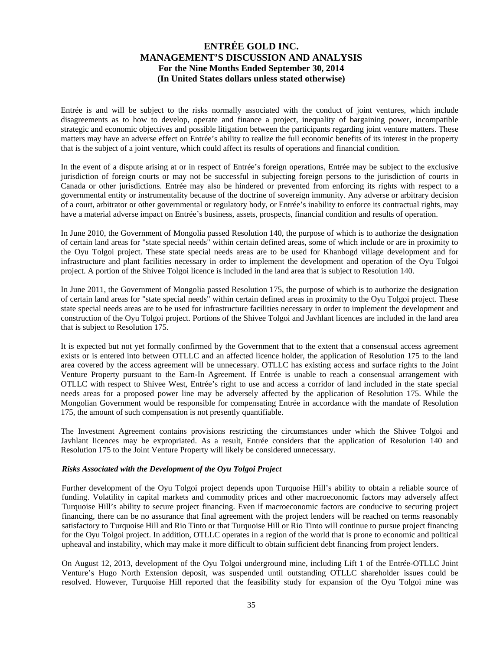Entrée is and will be subject to the risks normally associated with the conduct of joint ventures, which include disagreements as to how to develop, operate and finance a project, inequality of bargaining power, incompatible strategic and economic objectives and possible litigation between the participants regarding joint venture matters. These matters may have an adverse effect on Entrée's ability to realize the full economic benefits of its interest in the property that is the subject of a joint venture, which could affect its results of operations and financial condition.

In the event of a dispute arising at or in respect of Entrée's foreign operations, Entrée may be subject to the exclusive jurisdiction of foreign courts or may not be successful in subjecting foreign persons to the jurisdiction of courts in Canada or other jurisdictions. Entrée may also be hindered or prevented from enforcing its rights with respect to a governmental entity or instrumentality because of the doctrine of sovereign immunity. Any adverse or arbitrary decision of a court, arbitrator or other governmental or regulatory body, or Entrée's inability to enforce its contractual rights, may have a material adverse impact on Entrée's business, assets, prospects, financial condition and results of operation.

In June 2010, the Government of Mongolia passed Resolution 140, the purpose of which is to authorize the designation of certain land areas for "state special needs" within certain defined areas, some of which include or are in proximity to the Oyu Tolgoi project. These state special needs areas are to be used for Khanbogd village development and for infrastructure and plant facilities necessary in order to implement the development and operation of the Oyu Tolgoi project. A portion of the Shivee Tolgoi licence is included in the land area that is subject to Resolution 140.

In June 2011, the Government of Mongolia passed Resolution 175, the purpose of which is to authorize the designation of certain land areas for "state special needs" within certain defined areas in proximity to the Oyu Tolgoi project. These state special needs areas are to be used for infrastructure facilities necessary in order to implement the development and construction of the Oyu Tolgoi project. Portions of the Shivee Tolgoi and Javhlant licences are included in the land area that is subject to Resolution 175.

It is expected but not yet formally confirmed by the Government that to the extent that a consensual access agreement exists or is entered into between OTLLC and an affected licence holder, the application of Resolution 175 to the land area covered by the access agreement will be unnecessary. OTLLC has existing access and surface rights to the Joint Venture Property pursuant to the Earn-In Agreement. If Entrée is unable to reach a consensual arrangement with OTLLC with respect to Shivee West, Entrée's right to use and access a corridor of land included in the state special needs areas for a proposed power line may be adversely affected by the application of Resolution 175. While the Mongolian Government would be responsible for compensating Entrée in accordance with the mandate of Resolution 175, the amount of such compensation is not presently quantifiable.

The Investment Agreement contains provisions restricting the circumstances under which the Shivee Tolgoi and Javhlant licences may be expropriated. As a result, Entrée considers that the application of Resolution 140 and Resolution 175 to the Joint Venture Property will likely be considered unnecessary.

#### *Risks Associated with the Development of the Oyu Tolgoi Project*

Further development of the Oyu Tolgoi project depends upon Turquoise Hill's ability to obtain a reliable source of funding. Volatility in capital markets and commodity prices and other macroeconomic factors may adversely affect Turquoise Hill's ability to secure project financing. Even if macroeconomic factors are conducive to securing project financing, there can be no assurance that final agreement with the project lenders will be reached on terms reasonably satisfactory to Turquoise Hill and Rio Tinto or that Turquoise Hill or Rio Tinto will continue to pursue project financing for the Oyu Tolgoi project. In addition, OTLLC operates in a region of the world that is prone to economic and political upheaval and instability, which may make it more difficult to obtain sufficient debt financing from project lenders.

On August 12, 2013, development of the Oyu Tolgoi underground mine, including Lift 1 of the Entrée-OTLLC Joint Venture's Hugo North Extension deposit, was suspended until outstanding OTLLC shareholder issues could be resolved. However, Turquoise Hill reported that the feasibility study for expansion of the Oyu Tolgoi mine was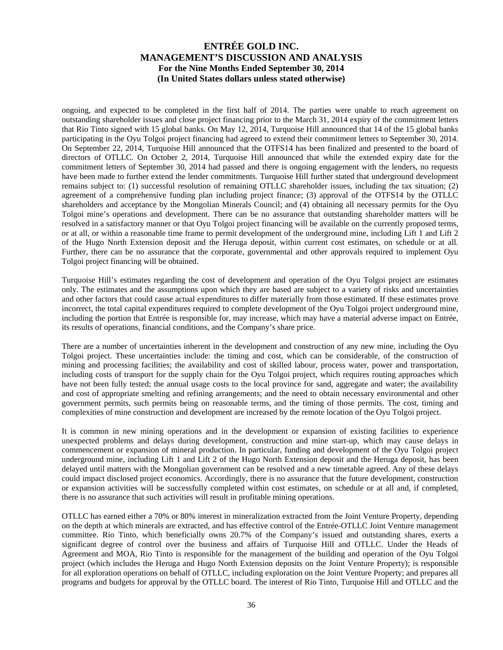ongoing, and expected to be completed in the first half of 2014. The parties were unable to reach agreement on outstanding shareholder issues and close project financing prior to the March 31, 2014 expiry of the commitment letters that Rio Tinto signed with 15 global banks. On May 12, 2014, Turquoise Hill announced that 14 of the 15 global banks participating in the Oyu Tolgoi project financing had agreed to extend their commitment letters to September 30, 2014. On September 22, 2014, Turquoise Hill announced that the OTFS14 has been finalized and presented to the board of directors of OTLLC. On October 2, 2014, Turquoise Hill announced that while the extended expiry date for the commitment letters of September 30, 2014 had passed and there is ongoing engagement with the lenders, no requests have been made to further extend the lender commitments. Turquoise Hill further stated that underground development remains subject to: (1) successful resolution of remaining OTLLC shareholder issues, including the tax situation; (2) agreement of a comprehensive funding plan including project finance; (3) approval of the OTFS14 by the OTLLC shareholders and acceptance by the Mongolian Minerals Council; and (4) obtaining all necessary permits for the Oyu Tolgoi mine's operations and development. There can be no assurance that outstanding shareholder matters will be resolved in a satisfactory manner or that Oyu Tolgoi project financing will be available on the currently proposed terms, or at all, or within a reasonable time frame to permit development of the underground mine, including Lift 1 and Lift 2 of the Hugo North Extension deposit and the Heruga deposit, within current cost estimates, on schedule or at all. Further, there can be no assurance that the corporate, governmental and other approvals required to implement Oyu Tolgoi project financing will be obtained.

Turquoise Hill's estimates regarding the cost of development and operation of the Oyu Tolgoi project are estimates only. The estimates and the assumptions upon which they are based are subject to a variety of risks and uncertainties and other factors that could cause actual expenditures to differ materially from those estimated. If these estimates prove incorrect, the total capital expenditures required to complete development of the Oyu Tolgoi project underground mine, including the portion that Entrée is responsible for, may increase, which may have a material adverse impact on Entrée, its results of operations, financial conditions, and the Company's share price.

There are a number of uncertainties inherent in the development and construction of any new mine, including the Oyu Tolgoi project. These uncertainties include: the timing and cost, which can be considerable, of the construction of mining and processing facilities; the availability and cost of skilled labour, process water, power and transportation, including costs of transport for the supply chain for the Oyu Tolgoi project, which requires routing approaches which have not been fully tested; the annual usage costs to the local province for sand, aggregate and water; the availability and cost of appropriate smelting and refining arrangements; and the need to obtain necessary environmental and other government permits, such permits being on reasonable terms, and the timing of those permits. The cost, timing and complexities of mine construction and development are increased by the remote location of the Oyu Tolgoi project.

It is common in new mining operations and in the development or expansion of existing facilities to experience unexpected problems and delays during development, construction and mine start-up, which may cause delays in commencement or expansion of mineral production. In particular, funding and development of the Oyu Tolgoi project underground mine, including Lift 1 and Lift 2 of the Hugo North Extension deposit and the Heruga deposit, has been delayed until matters with the Mongolian government can be resolved and a new timetable agreed. Any of these delays could impact disclosed project economics. Accordingly, there is no assurance that the future development, construction or expansion activities will be successfully completed within cost estimates, on schedule or at all and, if completed, there is no assurance that such activities will result in profitable mining operations.

OTLLC has earned either a 70% or 80% interest in mineralization extracted from the Joint Venture Property, depending on the depth at which minerals are extracted, and has effective control of the Entrée-OTLLC Joint Venture management committee. Rio Tinto, which beneficially owns 20.7% of the Company's issued and outstanding shares, exerts a significant degree of control over the business and affairs of Turquoise Hill and OTLLC. Under the Heads of Agreement and MOA, Rio Tinto is responsible for the management of the building and operation of the Oyu Tolgoi project (which includes the Heruga and Hugo North Extension deposits on the Joint Venture Property); is responsible for all exploration operations on behalf of OTLLC, including exploration on the Joint Venture Property; and prepares all programs and budgets for approval by the OTLLC board. The interest of Rio Tinto, Turquoise Hill and OTLLC and the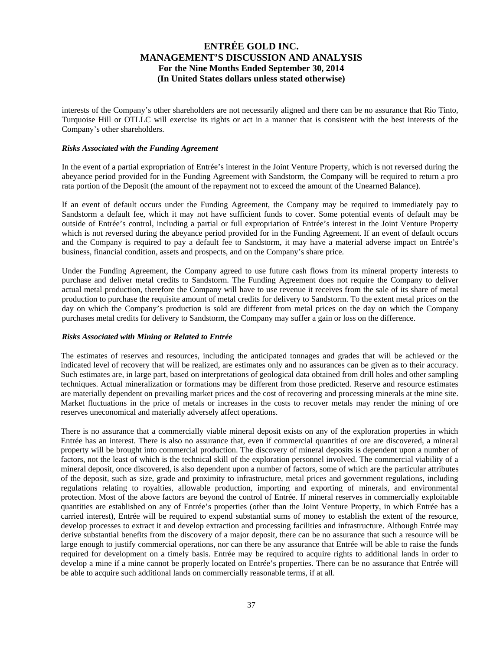interests of the Company's other shareholders are not necessarily aligned and there can be no assurance that Rio Tinto, Turquoise Hill or OTLLC will exercise its rights or act in a manner that is consistent with the best interests of the Company's other shareholders.

#### *Risks Associated with the Funding Agreement*

In the event of a partial expropriation of Entrée's interest in the Joint Venture Property, which is not reversed during the abeyance period provided for in the Funding Agreement with Sandstorm, the Company will be required to return a pro rata portion of the Deposit (the amount of the repayment not to exceed the amount of the Unearned Balance).

If an event of default occurs under the Funding Agreement, the Company may be required to immediately pay to Sandstorm a default fee, which it may not have sufficient funds to cover. Some potential events of default may be outside of Entrée's control, including a partial or full expropriation of Entrée's interest in the Joint Venture Property which is not reversed during the abeyance period provided for in the Funding Agreement. If an event of default occurs and the Company is required to pay a default fee to Sandstorm, it may have a material adverse impact on Entrée's business, financial condition, assets and prospects, and on the Company's share price.

Under the Funding Agreement, the Company agreed to use future cash flows from its mineral property interests to purchase and deliver metal credits to Sandstorm. The Funding Agreement does not require the Company to deliver actual metal production, therefore the Company will have to use revenue it receives from the sale of its share of metal production to purchase the requisite amount of metal credits for delivery to Sandstorm. To the extent metal prices on the day on which the Company's production is sold are different from metal prices on the day on which the Company purchases metal credits for delivery to Sandstorm, the Company may suffer a gain or loss on the difference.

## *Risks Associated with Mining or Related to Entrée*

The estimates of reserves and resources, including the anticipated tonnages and grades that will be achieved or the indicated level of recovery that will be realized, are estimates only and no assurances can be given as to their accuracy. Such estimates are, in large part, based on interpretations of geological data obtained from drill holes and other sampling techniques. Actual mineralization or formations may be different from those predicted. Reserve and resource estimates are materially dependent on prevailing market prices and the cost of recovering and processing minerals at the mine site. Market fluctuations in the price of metals or increases in the costs to recover metals may render the mining of ore reserves uneconomical and materially adversely affect operations.

There is no assurance that a commercially viable mineral deposit exists on any of the exploration properties in which Entrée has an interest. There is also no assurance that, even if commercial quantities of ore are discovered, a mineral property will be brought into commercial production. The discovery of mineral deposits is dependent upon a number of factors, not the least of which is the technical skill of the exploration personnel involved. The commercial viability of a mineral deposit, once discovered, is also dependent upon a number of factors, some of which are the particular attributes of the deposit, such as size, grade and proximity to infrastructure, metal prices and government regulations, including regulations relating to royalties, allowable production, importing and exporting of minerals, and environmental protection. Most of the above factors are beyond the control of Entrée. If mineral reserves in commercially exploitable quantities are established on any of Entrée's properties (other than the Joint Venture Property, in which Entrée has a carried interest), Entrée will be required to expend substantial sums of money to establish the extent of the resource, develop processes to extract it and develop extraction and processing facilities and infrastructure. Although Entrée may derive substantial benefits from the discovery of a major deposit, there can be no assurance that such a resource will be large enough to justify commercial operations, nor can there be any assurance that Entrée will be able to raise the funds required for development on a timely basis. Entrée may be required to acquire rights to additional lands in order to develop a mine if a mine cannot be properly located on Entrée's properties. There can be no assurance that Entrée will be able to acquire such additional lands on commercially reasonable terms, if at all.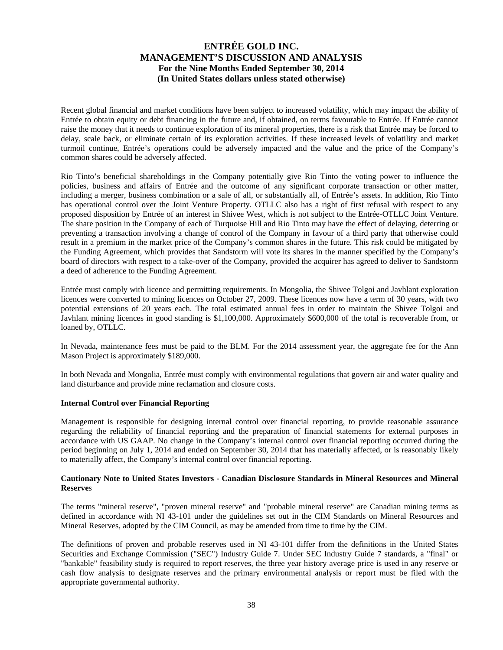Recent global financial and market conditions have been subject to increased volatility, which may impact the ability of Entrée to obtain equity or debt financing in the future and, if obtained, on terms favourable to Entrée. If Entrée cannot raise the money that it needs to continue exploration of its mineral properties, there is a risk that Entrée may be forced to delay, scale back, or eliminate certain of its exploration activities. If these increased levels of volatility and market turmoil continue, Entrée's operations could be adversely impacted and the value and the price of the Company's common shares could be adversely affected.

Rio Tinto's beneficial shareholdings in the Company potentially give Rio Tinto the voting power to influence the policies, business and affairs of Entrée and the outcome of any significant corporate transaction or other matter, including a merger, business combination or a sale of all, or substantially all, of Entrée's assets. In addition, Rio Tinto has operational control over the Joint Venture Property. OTLLC also has a right of first refusal with respect to any proposed disposition by Entrée of an interest in Shivee West, which is not subject to the Entrée-OTLLC Joint Venture. The share position in the Company of each of Turquoise Hill and Rio Tinto may have the effect of delaying, deterring or preventing a transaction involving a change of control of the Company in favour of a third party that otherwise could result in a premium in the market price of the Company's common shares in the future. This risk could be mitigated by the Funding Agreement, which provides that Sandstorm will vote its shares in the manner specified by the Company's board of directors with respect to a take-over of the Company, provided the acquirer has agreed to deliver to Sandstorm a deed of adherence to the Funding Agreement.

Entrée must comply with licence and permitting requirements. In Mongolia, the Shivee Tolgoi and Javhlant exploration licences were converted to mining licences on October 27, 2009. These licences now have a term of 30 years, with two potential extensions of 20 years each. The total estimated annual fees in order to maintain the Shivee Tolgoi and Javhlant mining licences in good standing is \$1,100,000. Approximately \$600,000 of the total is recoverable from, or loaned by, OTLLC.

In Nevada, maintenance fees must be paid to the BLM. For the 2014 assessment year, the aggregate fee for the Ann Mason Project is approximately \$189,000.

In both Nevada and Mongolia, Entrée must comply with environmental regulations that govern air and water quality and land disturbance and provide mine reclamation and closure costs.

#### **Internal Control over Financial Reporting**

Management is responsible for designing internal control over financial reporting, to provide reasonable assurance regarding the reliability of financial reporting and the preparation of financial statements for external purposes in accordance with US GAAP. No change in the Company's internal control over financial reporting occurred during the period beginning on July 1, 2014 and ended on September 30, 2014 that has materially affected, or is reasonably likely to materially affect, the Company's internal control over financial reporting.

## **Cautionary Note to United States Investors - Canadian Disclosure Standards in Mineral Resources and Mineral Reserve**s

The terms "mineral reserve", "proven mineral reserve" and "probable mineral reserve" are Canadian mining terms as defined in accordance with NI 43-101 under the guidelines set out in the CIM Standards on Mineral Resources and Mineral Reserves, adopted by the CIM Council, as may be amended from time to time by the CIM.

The definitions of proven and probable reserves used in NI 43-101 differ from the definitions in the United States Securities and Exchange Commission ("SEC") Industry Guide 7. Under SEC Industry Guide 7 standards, a "final" or "bankable" feasibility study is required to report reserves, the three year history average price is used in any reserve or cash flow analysis to designate reserves and the primary environmental analysis or report must be filed with the appropriate governmental authority.